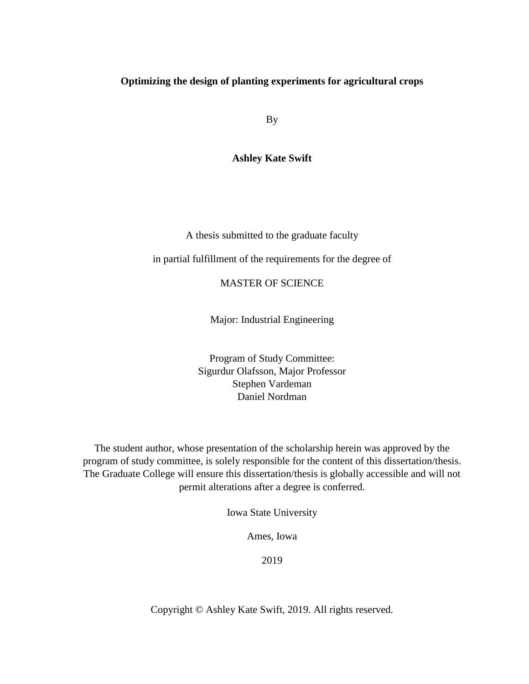# **Optimizing the design of planting experiments for agricultural crops**

By

**Ashley Kate Swift**

A thesis submitted to the graduate faculty

in partial fulfillment of the requirements for the degree of

MASTER OF SCIENCE

Major: Industrial Engineering

Program of Study Committee: Sigurdur Olafsson, Major Professor Stephen Vardeman Daniel Nordman

The student author, whose presentation of the scholarship herein was approved by the program of study committee, is solely responsible for the content of this dissertation/thesis. The Graduate College will ensure this dissertation/thesis is globally accessible and will not permit alterations after a degree is conferred.

Iowa State University

Ames, Iowa

2019

Copyright © Ashley Kate Swift, 2019. All rights reserved.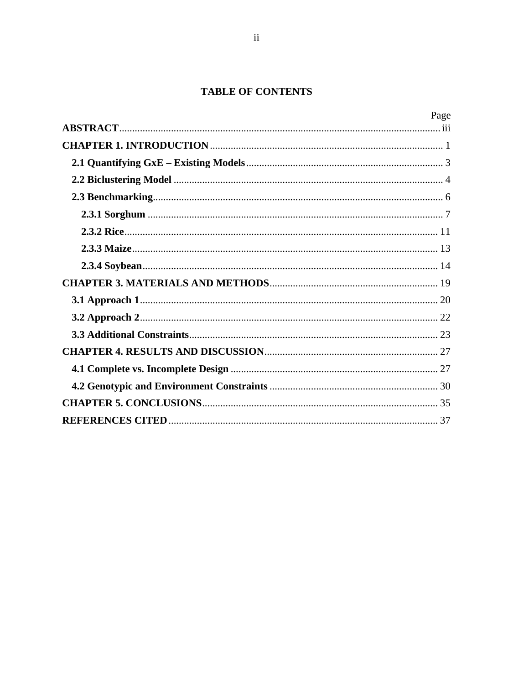# **TABLE OF CONTENTS**

| Page |
|------|
|      |
|      |
|      |
|      |
|      |
|      |
|      |
|      |
|      |
|      |
|      |
|      |
|      |
|      |
|      |
|      |
|      |
|      |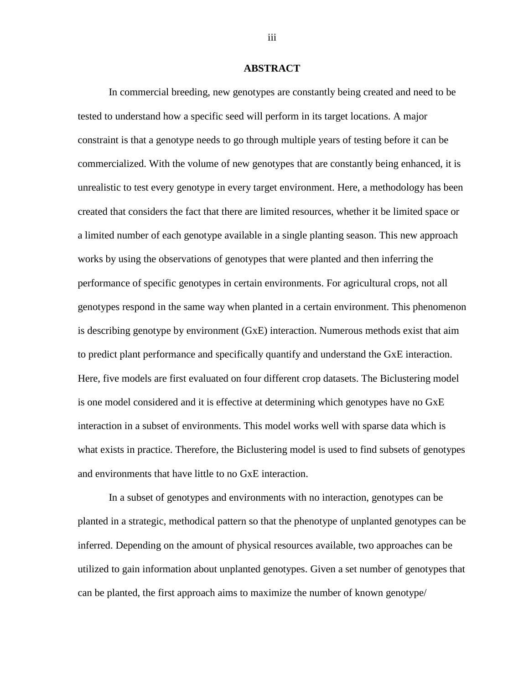### **ABSTRACT**

<span id="page-2-0"></span>In commercial breeding, new genotypes are constantly being created and need to be tested to understand how a specific seed will perform in its target locations. A major constraint is that a genotype needs to go through multiple years of testing before it can be commercialized. With the volume of new genotypes that are constantly being enhanced, it is unrealistic to test every genotype in every target environment. Here, a methodology has been created that considers the fact that there are limited resources, whether it be limited space or a limited number of each genotype available in a single planting season. This new approach works by using the observations of genotypes that were planted and then inferring the performance of specific genotypes in certain environments. For agricultural crops, not all genotypes respond in the same way when planted in a certain environment. This phenomenon is describing genotype by environment (GxE) interaction. Numerous methods exist that aim to predict plant performance and specifically quantify and understand the GxE interaction. Here, five models are first evaluated on four different crop datasets. The Biclustering model is one model considered and it is effective at determining which genotypes have no GxE interaction in a subset of environments. This model works well with sparse data which is what exists in practice. Therefore, the Biclustering model is used to find subsets of genotypes and environments that have little to no GxE interaction.

In a subset of genotypes and environments with no interaction, genotypes can be planted in a strategic, methodical pattern so that the phenotype of unplanted genotypes can be inferred. Depending on the amount of physical resources available, two approaches can be utilized to gain information about unplanted genotypes. Given a set number of genotypes that can be planted, the first approach aims to maximize the number of known genotype/

iii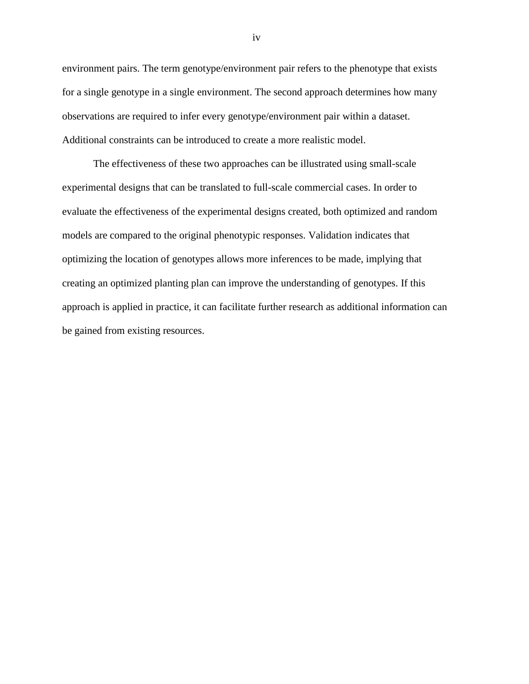environment pairs. The term genotype/environment pair refers to the phenotype that exists for a single genotype in a single environment. The second approach determines how many observations are required to infer every genotype/environment pair within a dataset. Additional constraints can be introduced to create a more realistic model.

The effectiveness of these two approaches can be illustrated using small-scale experimental designs that can be translated to full-scale commercial cases. In order to evaluate the effectiveness of the experimental designs created, both optimized and random models are compared to the original phenotypic responses. Validation indicates that optimizing the location of genotypes allows more inferences to be made, implying that creating an optimized planting plan can improve the understanding of genotypes. If this approach is applied in practice, it can facilitate further research as additional information can be gained from existing resources.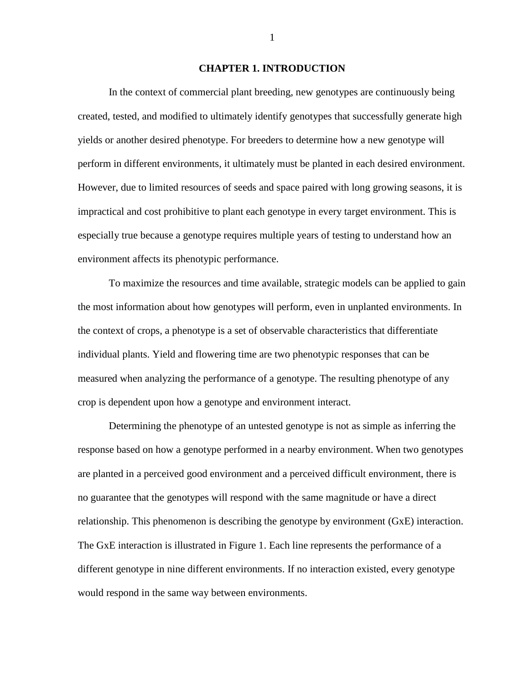# **CHAPTER 1. INTRODUCTION**

<span id="page-4-0"></span>In the context of commercial plant breeding, new genotypes are continuously being created, tested, and modified to ultimately identify genotypes that successfully generate high yields or another desired phenotype. For breeders to determine how a new genotype will perform in different environments, it ultimately must be planted in each desired environment. However, due to limited resources of seeds and space paired with long growing seasons, it is impractical and cost prohibitive to plant each genotype in every target environment. This is especially true because a genotype requires multiple years of testing to understand how an environment affects its phenotypic performance.

To maximize the resources and time available, strategic models can be applied to gain the most information about how genotypes will perform, even in unplanted environments. In the context of crops, a phenotype is a set of observable characteristics that differentiate individual plants. Yield and flowering time are two phenotypic responses that can be measured when analyzing the performance of a genotype. The resulting phenotype of any crop is dependent upon how a genotype and environment interact.

Determining the phenotype of an untested genotype is not as simple as inferring the response based on how a genotype performed in a nearby environment. When two genotypes are planted in a perceived good environment and a perceived difficult environment, there is no guarantee that the genotypes will respond with the same magnitude or have a direct relationship. This phenomenon is describing the genotype by environment (GxE) interaction. The GxE interaction is illustrated in Figure 1. Each line represents the performance of a different genotype in nine different environments. If no interaction existed, every genotype would respond in the same way between environments.

1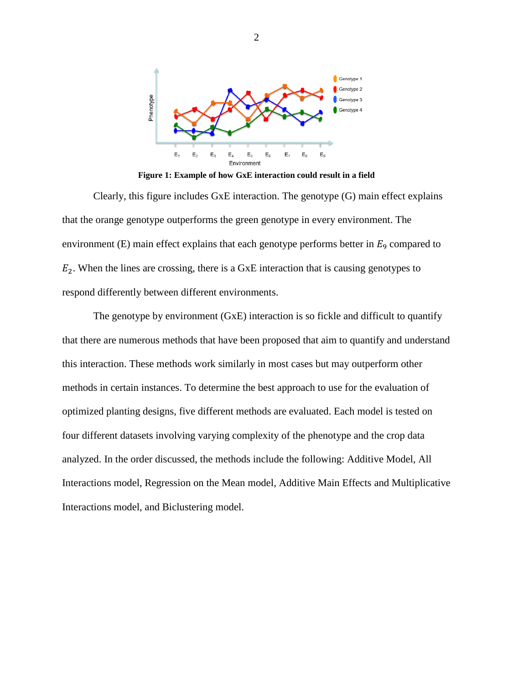

**Figure 1: Example of how GxE interaction could result in a field**

Clearly, this figure includes GxE interaction. The genotype (G) main effect explains that the orange genotype outperforms the green genotype in every environment. The environment (E) main effect explains that each genotype performs better in  $E<sub>9</sub>$  compared to  $E_2$ . When the lines are crossing, there is a GxE interaction that is causing genotypes to respond differently between different environments.

The genotype by environment (GxE) interaction is so fickle and difficult to quantify that there are numerous methods that have been proposed that aim to quantify and understand this interaction. These methods work similarly in most cases but may outperform other methods in certain instances. To determine the best approach to use for the evaluation of optimized planting designs, five different methods are evaluated. Each model is tested on four different datasets involving varying complexity of the phenotype and the crop data analyzed. In the order discussed, the methods include the following: Additive Model, All Interactions model, Regression on the Mean model, Additive Main Effects and Multiplicative Interactions model, and Biclustering model.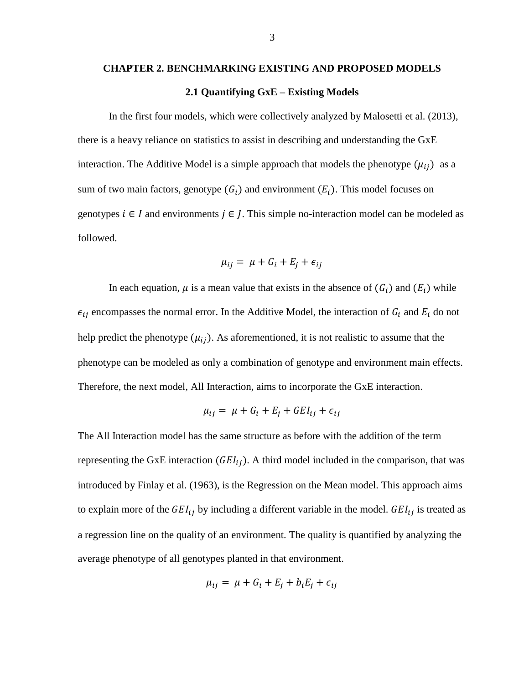# **CHAPTER 2. BENCHMARKING EXISTING AND PROPOSED MODELS 2.1 Quantifying GxE – Existing Models**

<span id="page-6-0"></span>In the first four models, which were collectively analyzed by Malosetti et al. (2013), there is a heavy reliance on statistics to assist in describing and understanding the GxE interaction. The Additive Model is a simple approach that models the phenotype  $(\mu_{ij})$  as a sum of two main factors, genotype  $(G_i)$  and environment  $(E_i)$ . This model focuses on genotypes  $i \in I$  and environments  $j \in I$ . This simple no-interaction model can be modeled as followed.

$$
\mu_{ij} = \mu + G_i + E_j + \epsilon_{ij}
$$

In each equation,  $\mu$  is a mean value that exists in the absence of  $(G_i)$  and  $(E_i)$  while  $\epsilon_{ij}$  encompasses the normal error. In the Additive Model, the interaction of  $G_i$  and  $E_i$  do not help predict the phenotype  $(\mu_{ij})$ . As aforementioned, it is not realistic to assume that the phenotype can be modeled as only a combination of genotype and environment main effects. Therefore, the next model, All Interaction, aims to incorporate the GxE interaction.

$$
\mu_{ij} = \mu + G_i + E_j + G E I_{ij} + \epsilon_{ij}
$$

The All Interaction model has the same structure as before with the addition of the term representing the GxE interaction  $(GEI_{ij})$ . A third model included in the comparison, that was introduced by Finlay et al. (1963), is the Regression on the Mean model. This approach aims to explain more of the  $GEI_{ij}$  by including a different variable in the model.  $GEI_{ij}$  is treated as a regression line on the quality of an environment. The quality is quantified by analyzing the average phenotype of all genotypes planted in that environment.

$$
\mu_{ij} = \mu + G_i + E_j + b_i E_j + \epsilon_{ij}
$$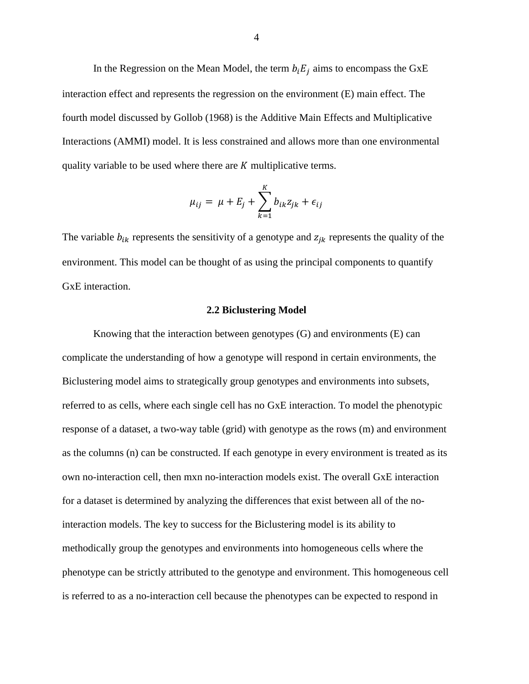In the Regression on the Mean Model, the term  $b_i E_i$  aims to encompass the GxE interaction effect and represents the regression on the environment (E) main effect. The fourth model discussed by Gollob (1968) is the Additive Main Effects and Multiplicative Interactions (AMMI) model. It is less constrained and allows more than one environmental quality variable to be used where there are  $K$  multiplicative terms.

$$
\mu_{ij} = \mu + E_j + \sum_{k=1}^{K} b_{ik} z_{jk} + \epsilon_{ij}
$$

The variable  $b_{ik}$  represents the sensitivity of a genotype and  $z_{ik}$  represents the quality of the environment. This model can be thought of as using the principal components to quantify GxE interaction.

# **2.2 Biclustering Model**

<span id="page-7-0"></span>Knowing that the interaction between genotypes (G) and environments (E) can complicate the understanding of how a genotype will respond in certain environments, the Biclustering model aims to strategically group genotypes and environments into subsets, referred to as cells, where each single cell has no GxE interaction. To model the phenotypic response of a dataset, a two-way table (grid) with genotype as the rows (m) and environment as the columns (n) can be constructed. If each genotype in every environment is treated as its own no-interaction cell, then mxn no-interaction models exist. The overall GxE interaction for a dataset is determined by analyzing the differences that exist between all of the nointeraction models. The key to success for the Biclustering model is its ability to methodically group the genotypes and environments into homogeneous cells where the phenotype can be strictly attributed to the genotype and environment. This homogeneous cell is referred to as a no-interaction cell because the phenotypes can be expected to respond in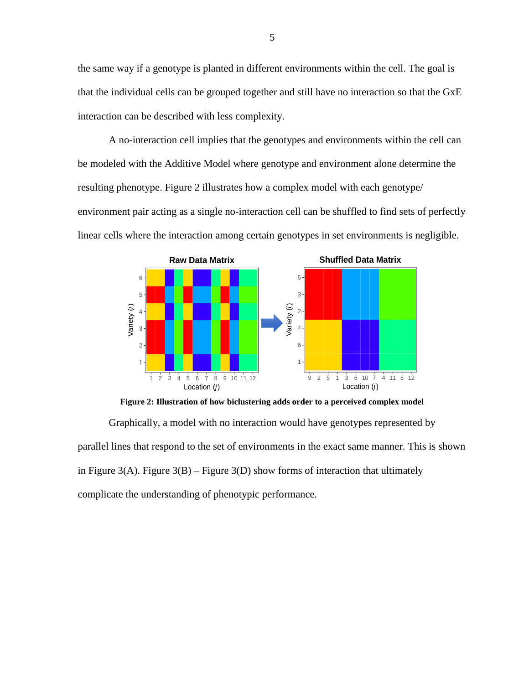the same way if a genotype is planted in different environments within the cell. The goal is that the individual cells can be grouped together and still have no interaction so that the GxE interaction can be described with less complexity.

A no-interaction cell implies that the genotypes and environments within the cell can be modeled with the Additive Model where genotype and environment alone determine the resulting phenotype. Figure 2 illustrates how a complex model with each genotype/ environment pair acting as a single no-interaction cell can be shuffled to find sets of perfectly linear cells where the interaction among certain genotypes in set environments is negligible.



**Figure 2: Illustration of how biclustering adds order to a perceived complex model**

Graphically, a model with no interaction would have genotypes represented by parallel lines that respond to the set of environments in the exact same manner. This is shown in Figure 3(A). Figure 3(B) – Figure 3(D) show forms of interaction that ultimately complicate the understanding of phenotypic performance.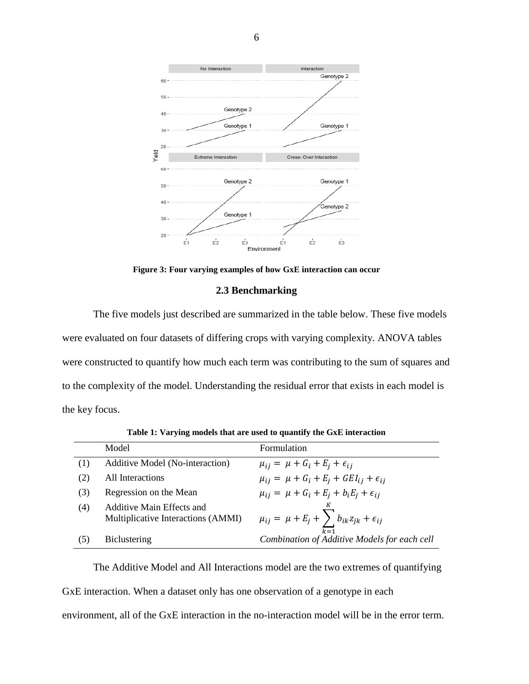

**Figure 3: Four varying examples of how GxE interaction can occur**

# **2.3 Benchmarking**

<span id="page-9-0"></span>The five models just described are summarized in the table below. These five models were evaluated on four datasets of differing crops with varying complexity. ANOVA tables were constructed to quantify how much each term was contributing to the sum of squares and to the complexity of the model. Understanding the residual error that exists in each model is the key focus.

|     | Model                                                           | Formulation                                                 |
|-----|-----------------------------------------------------------------|-------------------------------------------------------------|
|     | Additive Model (No-interaction)                                 | $\mu_{ij} = \mu + G_i + E_i + \epsilon_{ij}$                |
| (2) | All Interactions                                                | $\mu_{ij} = \mu + G_i + E_j + GEI_{ij} + \epsilon_{ij}$     |
| (3) | Regression on the Mean                                          | $\mu_{ij} = \mu + G_i + E_j + b_i E_j + \epsilon_{ij}$      |
| (4) | Additive Main Effects and<br>Multiplicative Interactions (AMMI) | $\mu_{ij} = \mu + E_j + \sum b_{ik} z_{jk} + \epsilon_{ij}$ |
| (5) | <b>Biclustering</b>                                             | $k=1$<br>Combination of Additive Models for each cell       |

**Table 1: Varying models that are used to quantify the GxE interaction**

The Additive Model and All Interactions model are the two extremes of quantifying GxE interaction. When a dataset only has one observation of a genotype in each environment, all of the GxE interaction in the no-interaction model will be in the error term.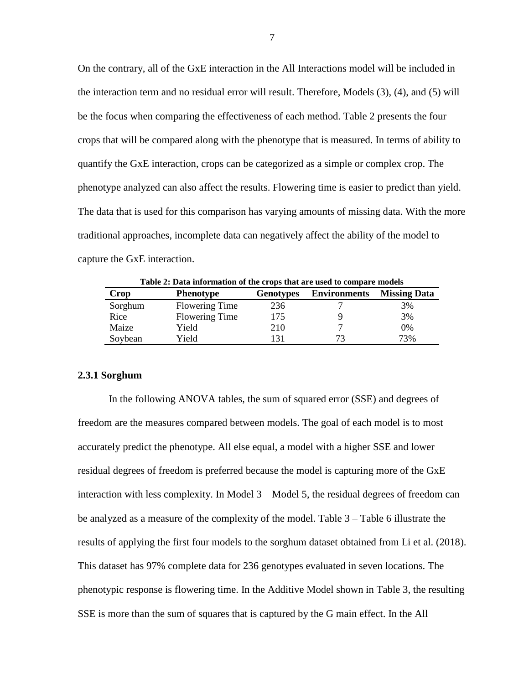On the contrary, all of the GxE interaction in the All Interactions model will be included in the interaction term and no residual error will result. Therefore, Models (3), (4), and (5) will be the focus when comparing the effectiveness of each method. Table 2 presents the four crops that will be compared along with the phenotype that is measured. In terms of ability to quantify the GxE interaction, crops can be categorized as a simple or complex crop. The phenotype analyzed can also affect the results. Flowering time is easier to predict than yield. The data that is used for this comparison has varying amounts of missing data. With the more traditional approaches, incomplete data can negatively affect the ability of the model to capture the GxE interaction.

| Table 2: Data information of the crops that are used to compare models |                       |                  |                     |                     |  |  |  |
|------------------------------------------------------------------------|-----------------------|------------------|---------------------|---------------------|--|--|--|
| Crop                                                                   | <b>Phenotype</b>      | <b>Genotypes</b> | <b>Environments</b> | <b>Missing Data</b> |  |  |  |
| Sorghum                                                                | <b>Flowering Time</b> | 236              |                     | 3%                  |  |  |  |
| Rice                                                                   | <b>Flowering Time</b> | 175              |                     | 3%                  |  |  |  |
| Maize                                                                  | Yield                 | 210              |                     | 0%                  |  |  |  |
| Soybean                                                                | Yield                 | 131              |                     | 73%                 |  |  |  |

#### <span id="page-10-0"></span>**2.3.1 Sorghum**

In the following ANOVA tables, the sum of squared error (SSE) and degrees of freedom are the measures compared between models. The goal of each model is to most accurately predict the phenotype. All else equal, a model with a higher SSE and lower residual degrees of freedom is preferred because the model is capturing more of the GxE interaction with less complexity. In Model 3 – Model 5, the residual degrees of freedom can be analyzed as a measure of the complexity of the model. Table 3 – Table 6 illustrate the results of applying the first four models to the sorghum dataset obtained from Li et al. (2018). This dataset has 97% complete data for 236 genotypes evaluated in seven locations. The phenotypic response is flowering time. In the Additive Model shown in Table 3, the resulting SSE is more than the sum of squares that is captured by the G main effect. In the All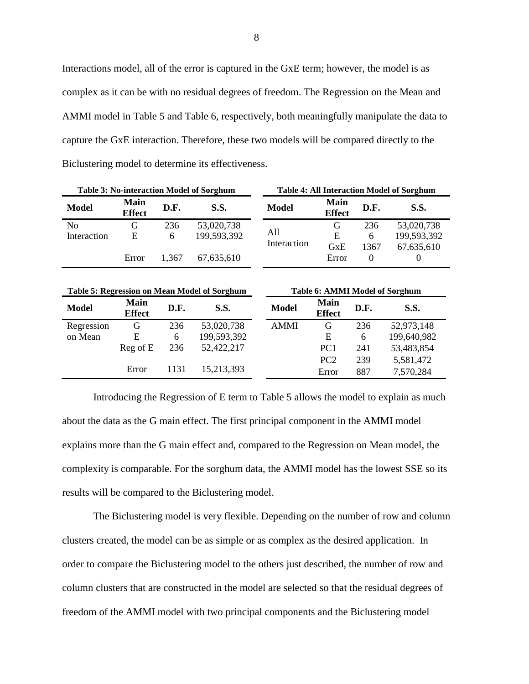Interactions model, all of the error is captured in the GxE term; however, the model is as complex as it can be with no residual degrees of freedom. The Regression on the Mean and AMMI model in Table 5 and Table 6, respectively, both meaningfully manipulate the data to capture the GxE interaction. Therefore, these two models will be compared directly to the Biclustering model to determine its effectiveness.

| Table 3: No-interaction Model of Sorghum |                              |                     | <b>Table 4: All Interaction Model of Sorghum</b> |              |                              |          |             |
|------------------------------------------|------------------------------|---------------------|--------------------------------------------------|--------------|------------------------------|----------|-------------|
| <b>Model</b>                             | <b>Main</b><br><b>Effect</b> | D.F.<br><b>S.S.</b> |                                                  | <b>Model</b> | <b>Main</b><br><b>Effect</b> | D.F.     | <b>S.S.</b> |
| No                                       | G                            | 236                 | 53,020,738                                       |              | G                            | 236      | 53,020,738  |
| Interaction                              | Ε                            | 6                   | 199,593,392                                      | A11          | E                            | 6        | 199,593,392 |
|                                          |                              |                     |                                                  | Interaction  | GxE                          | 1367     | 67,635,610  |
|                                          | Error                        | 1.367               | 67,635,610                                       |              | Error                        | $\theta$ |             |
|                                          |                              |                     |                                                  |              |                              |          |             |

| <b>Table 5: Regression on Mean Model of Sorghum</b> |                              |      |             | <b>Table 6: AMMI Model of Sorghum</b> |                              |      |             |
|-----------------------------------------------------|------------------------------|------|-------------|---------------------------------------|------------------------------|------|-------------|
| <b>Model</b>                                        | <b>Main</b><br><b>Effect</b> | D.F. | <b>S.S.</b> | <b>Model</b>                          | <b>Main</b><br><b>Effect</b> | D.F. | <b>S.S.</b> |
| Regression                                          | G                            | 236  | 53,020,738  | <b>AMMI</b>                           | G                            | 236  | 52,973,148  |
| on Mean                                             | E                            | 6    | 199,593,392 |                                       | E                            | 6    | 199,640,982 |
|                                                     | $Reg$ of $E$                 | 236  | 52,422,217  |                                       | PC <sub>1</sub>              | 241  | 53,483,854  |
|                                                     |                              |      |             |                                       | PC <sub>2</sub>              | 239  | 5,581,472   |
|                                                     | Error                        | 1131 | 15,213,393  |                                       | Error                        | 887  | 7,570,284   |

Introducing the Regression of E term to Table 5 allows the model to explain as much about the data as the G main effect. The first principal component in the AMMI model explains more than the G main effect and, compared to the Regression on Mean model, the complexity is comparable. For the sorghum data, the AMMI model has the lowest SSE so its results will be compared to the Biclustering model.

The Biclustering model is very flexible. Depending on the number of row and column clusters created, the model can be as simple or as complex as the desired application. In order to compare the Biclustering model to the others just described, the number of row and column clusters that are constructed in the model are selected so that the residual degrees of freedom of the AMMI model with two principal components and the Biclustering model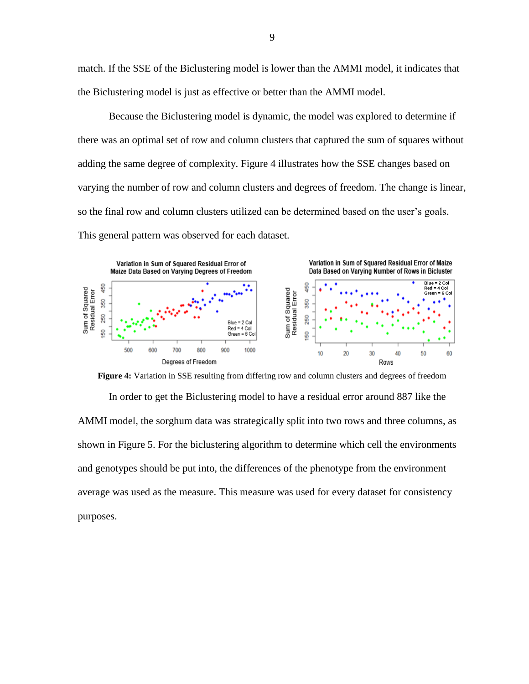match. If the SSE of the Biclustering model is lower than the AMMI model, it indicates that the Biclustering model is just as effective or better than the AMMI model.

Because the Biclustering model is dynamic, the model was explored to determine if there was an optimal set of row and column clusters that captured the sum of squares without adding the same degree of complexity. Figure 4 illustrates how the SSE changes based on varying the number of row and column clusters and degrees of freedom. The change is linear, so the final row and column clusters utilized can be determined based on the user's goals. This general pattern was observed for each dataset.



**Figure 4:** Variation in SSE resulting from differing row and column clusters and degrees of freedom

In order to get the Biclustering model to have a residual error around 887 like the AMMI model, the sorghum data was strategically split into two rows and three columns, as shown in Figure 5. For the biclustering algorithm to determine which cell the environments and genotypes should be put into, the differences of the phenotype from the environment average was used as the measure. This measure was used for every dataset for consistency purposes.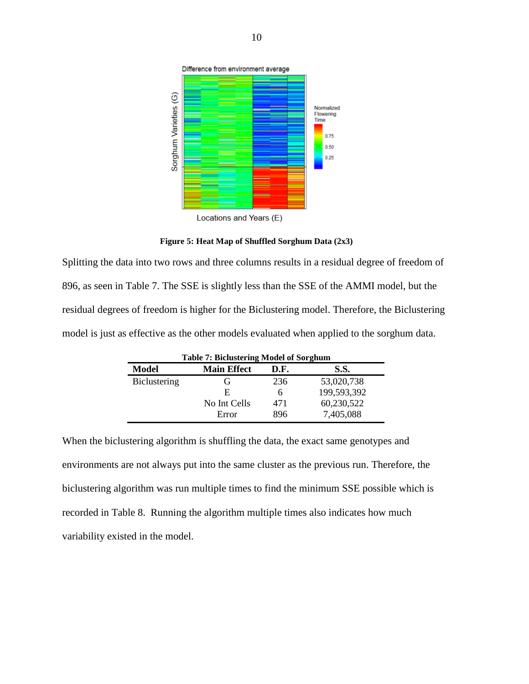

**Figure 5: Heat Map of Shuffled Sorghum Data (2x3)**

Splitting the data into two rows and three columns results in a residual degree of freedom of 896, as seen in Table 7. The SSE is slightly less than the SSE of the AMMI model, but the residual degrees of freedom is higher for the Biclustering model. Therefore, the Biclustering model is just as effective as the other models evaluated when applied to the sorghum data.

| <b>Table 7: Biclustering Model of Sorghum</b> |                    |      |             |  |  |  |
|-----------------------------------------------|--------------------|------|-------------|--|--|--|
| Model                                         | <b>Main Effect</b> | D.F. | <b>S.S.</b> |  |  |  |
| <b>Biclustering</b>                           | (ì                 | 236  | 53,020,738  |  |  |  |
|                                               | E                  | 6    | 199,593,392 |  |  |  |
|                                               | No Int Cells       | 471  | 60,230,522  |  |  |  |
|                                               | Error              | 896  | 7,405,088   |  |  |  |

When the biclustering algorithm is shuffling the data, the exact same genotypes and environments are not always put into the same cluster as the previous run. Therefore, the biclustering algorithm was run multiple times to find the minimum SSE possible which is recorded in Table 8. Running the algorithm multiple times also indicates how much variability existed in the model.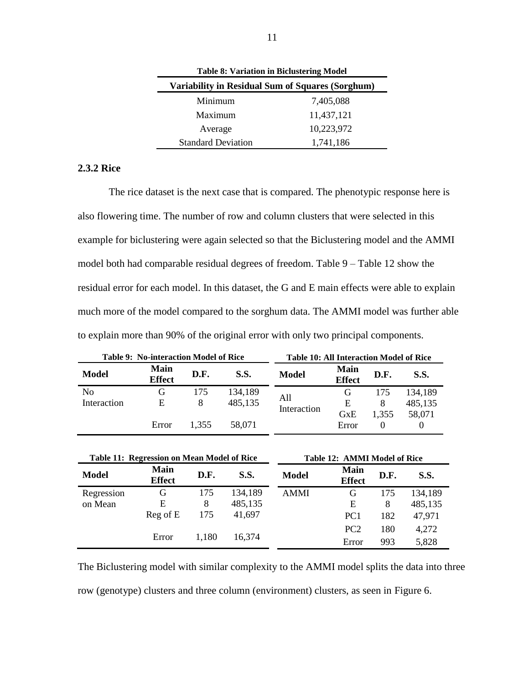| <b>Table 8: Variation in Biclustering Model</b>  |            |  |  |  |  |
|--------------------------------------------------|------------|--|--|--|--|
| Variability in Residual Sum of Squares (Sorghum) |            |  |  |  |  |
| Minimum                                          | 7,405,088  |  |  |  |  |
| Maximum                                          | 11,437,121 |  |  |  |  |
| Average                                          | 10,223,972 |  |  |  |  |
| <b>Standard Deviation</b>                        | 1,741,186  |  |  |  |  |

# <span id="page-14-0"></span>**2.3.2 Rice**

The rice dataset is the next case that is compared. The phenotypic response here is also flowering time. The number of row and column clusters that were selected in this example for biclustering were again selected so that the Biclustering model and the AMMI model both had comparable residual degrees of freedom. Table 9 – Table 12 show the residual error for each model. In this dataset, the G and E main effects were able to explain much more of the model compared to the sorghum data. The AMMI model was further able to explain more than 90% of the original error with only two principal components.

| Table 9: No-interaction Model of Rice |                              |          |                    | Table 10: All Interaction Model of Rice |                              |                   |                    |
|---------------------------------------|------------------------------|----------|--------------------|-----------------------------------------|------------------------------|-------------------|--------------------|
| Model                                 | <b>Main</b><br><b>Effect</b> | D.F.     | <b>S.S.</b>        | <b>Model</b>                            | <b>Main</b><br><b>Effect</b> | D.F.              | <b>S.S.</b>        |
| N <sub>0</sub><br>Interaction         | G<br>E                       | 175<br>8 | 134,189<br>485,135 | All<br>Interaction                      | G,<br>Ε                      | 175<br>8          | 134,189<br>485,135 |
|                                       | Error                        | 1.355    | 58,071             |                                         | <b>G</b> xE<br>Error         | 1,355<br>$\theta$ | 58,071             |

| Table 11: Regression on Mean Model of Rice |                              |       |             | <b>Table 12: AMMI Model of Rice</b> |                              |      |             |
|--------------------------------------------|------------------------------|-------|-------------|-------------------------------------|------------------------------|------|-------------|
| <b>Model</b>                               | <b>Main</b><br><b>Effect</b> | D.F.  | <b>S.S.</b> | <b>Model</b>                        | <b>Main</b><br><b>Effect</b> | D.F. | <b>S.S.</b> |
| Regression                                 | G                            | 175   | 134,189     | <b>AMMI</b>                         | G                            | 175  | 134,189     |
| on Mean                                    | Е                            | 8     | 485,135     |                                     | Е                            | 8    | 485,135     |
|                                            | Reg of E                     | 175   | 41,697      |                                     | PC <sub>1</sub>              | 182  | 47,971      |
|                                            |                              |       |             |                                     | PC <sub>2</sub>              | 180  | 4,272       |
|                                            | Error                        | 1,180 | 16,374      |                                     | Error                        | 993  | 5,828       |

The Biclustering model with similar complexity to the AMMI model splits the data into three row (genotype) clusters and three column (environment) clusters, as seen in Figure 6.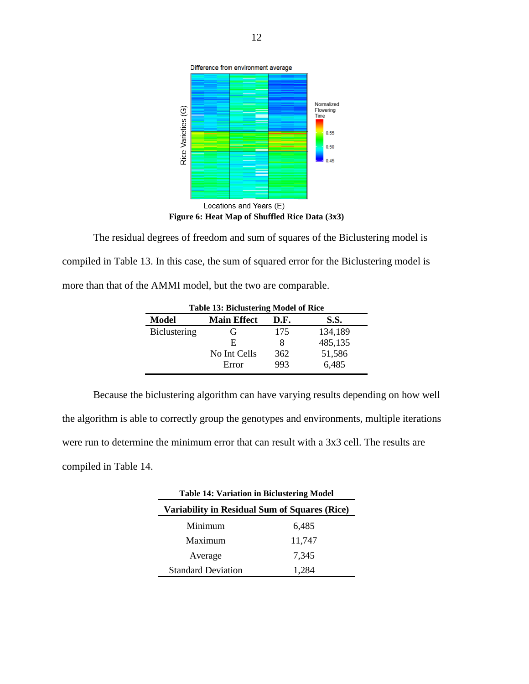

The residual degrees of freedom and sum of squares of the Biclustering model is compiled in Table 13. In this case, the sum of squared error for the Biclustering model is more than that of the AMMI model, but the two are comparable.

| <b>Table 13: Biclustering Model of Rice</b> |                    |      |         |  |  |  |
|---------------------------------------------|--------------------|------|---------|--|--|--|
| Model                                       | <b>Main Effect</b> | D.F. | S.S.    |  |  |  |
| <b>Biclustering</b>                         | (ì                 | 175  | 134,189 |  |  |  |
|                                             | E                  | 8    | 485,135 |  |  |  |
|                                             | No Int Cells       | 362  | 51,586  |  |  |  |
|                                             | Error              | 993  | 6,485   |  |  |  |

Because the biclustering algorithm can have varying results depending on how well the algorithm is able to correctly group the genotypes and environments, multiple iterations were run to determine the minimum error that can result with a 3x3 cell. The results are compiled in Table 14.

| <b>Table 14: Variation in Biclustering Model</b> |        |  |  |  |
|--------------------------------------------------|--------|--|--|--|
| Variability in Residual Sum of Squares (Rice)    |        |  |  |  |
| Minimum                                          | 6,485  |  |  |  |
| Maximum                                          | 11,747 |  |  |  |
| Average                                          | 7.345  |  |  |  |
| <b>Standard Deviation</b>                        | 1,284  |  |  |  |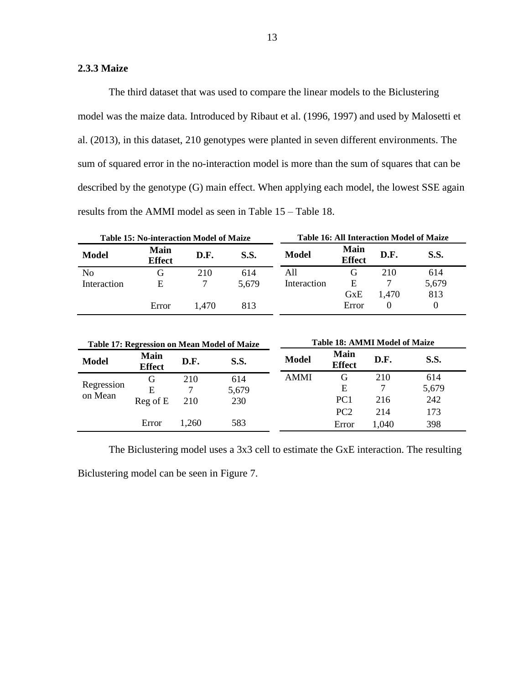# <span id="page-16-0"></span>**2.3.3 Maize**

The third dataset that was used to compare the linear models to the Biclustering model was the maize data. Introduced by Ribaut et al. (1996, 1997) and used by Malosetti et al. (2013), in this dataset, 210 genotypes were planted in seven different environments. The sum of squared error in the no-interaction model is more than the sum of squares that can be described by the genotype (G) main effect. When applying each model, the lowest SSE again results from the AMMI model as seen in Table 15 – Table 18.

| <b>Table 15: No-interaction Model of Maize</b> |                              |       |       | <b>Table 16: All Interaction Model of Maize</b> |                              |       |       |
|------------------------------------------------|------------------------------|-------|-------|-------------------------------------------------|------------------------------|-------|-------|
| Model                                          | <b>Main</b><br><b>Effect</b> | D.F.  | S.S.  | <b>Model</b>                                    | <b>Main</b><br><b>Effect</b> | D.F.  | S.S.  |
| N <sub>0</sub>                                 |                              | 210   | 614   | A11                                             |                              | 210   | 614   |
| Interaction                                    | E                            |       | 5,679 | Interaction                                     | Е                            |       | 5,679 |
|                                                |                              |       |       |                                                 | GxE                          | 1.470 | 813   |
|                                                | Error                        | 1.470 | 813   |                                                 | Error                        |       |       |

|              |                              |       | Table 17: Regression on Mean Model of Maize | <b>Table 18: AMMI Model of Maize</b> |                       |       |       |  |  |  |  |  |
|--------------|------------------------------|-------|---------------------------------------------|--------------------------------------|-----------------------|-------|-------|--|--|--|--|--|
| <b>Model</b> | <b>Main</b><br><b>Effect</b> | D.F.  | <b>S.S.</b>                                 | <b>Model</b>                         | Main<br><b>Effect</b> | D.F.  | S.S.  |  |  |  |  |  |
|              | G                            | 210   | 614                                         | <b>AMMI</b>                          | G                     | 210   | 614   |  |  |  |  |  |
| Regression   | E                            |       | 5,679                                       |                                      | Е                     |       | 5,679 |  |  |  |  |  |
| on Mean      | $Reg$ of $E$                 | 210   | 230                                         |                                      | PC <sub>1</sub>       | 216   | 242   |  |  |  |  |  |
|              |                              |       |                                             |                                      | PC <sub>2</sub>       | 214   | 173   |  |  |  |  |  |
|              | Error                        | 1.260 | 583                                         |                                      | Error                 | 1,040 | 398   |  |  |  |  |  |

The Biclustering model uses a 3x3 cell to estimate the GxE interaction. The resulting

Biclustering model can be seen in Figure 7.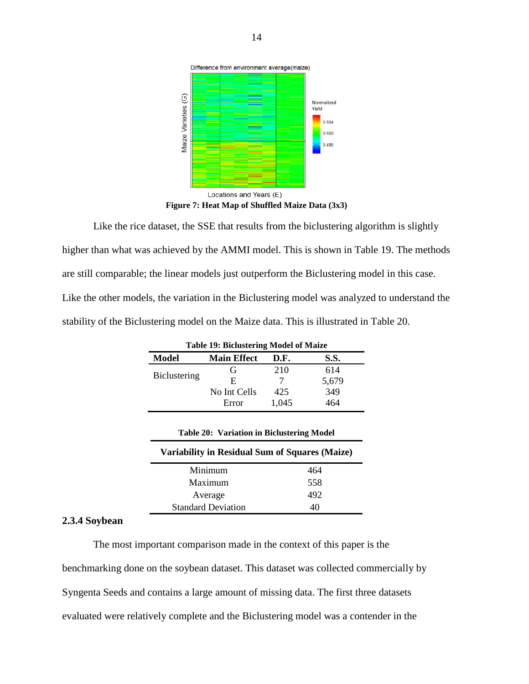

**Figure 7: Heat Map of Shuffled Maize Data (3x3)**

Like the rice dataset, the SSE that results from the biclustering algorithm is slightly higher than what was achieved by the AMMI model. This is shown in Table 19. The methods are still comparable; the linear models just outperform the Biclustering model in this case. Like the other models, the variation in the Biclustering model was analyzed to understand the stability of the Biclustering model on the Maize data. This is illustrated in Table 20.

| <b>Model</b> | <b>Main Effect</b> | D.F.  | <b>S.S.</b> |
|--------------|--------------------|-------|-------------|
|              | G                  | 210   | 614         |
| Biclustering | E                  |       | 5,679       |
|              | No Int Cells       | 425   | 349         |
|              | Error              | 1,045 | 464         |

| Variability in Residual Sum of Squares (Maize) |     |
|------------------------------------------------|-----|
| Minimum                                        | 464 |
| Maximum                                        | 558 |
| Average                                        | 492 |
| <b>Standard Deviation</b>                      | 40  |

# <span id="page-17-0"></span>**2.3.4 Soybean**

The most important comparison made in the context of this paper is the benchmarking done on the soybean dataset. This dataset was collected commercially by Syngenta Seeds and contains a large amount of missing data. The first three datasets evaluated were relatively complete and the Biclustering model was a contender in the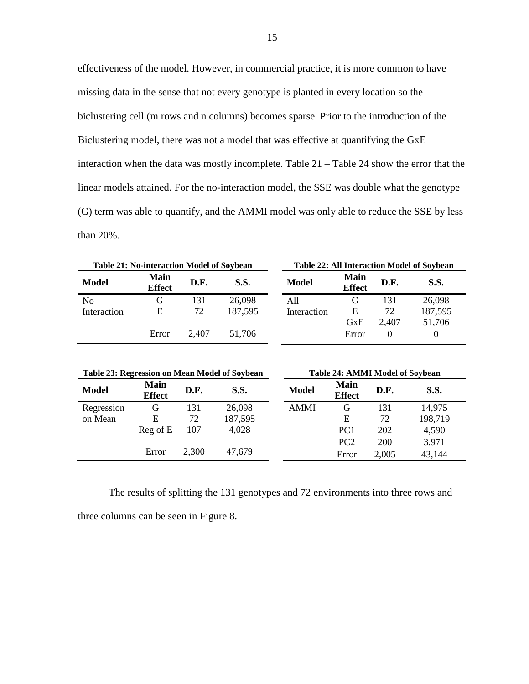effectiveness of the model. However, in commercial practice, it is more common to have missing data in the sense that not every genotype is planted in every location so the biclustering cell (m rows and n columns) becomes sparse. Prior to the introduction of the Biclustering model, there was not a model that was effective at quantifying the GxE interaction when the data was mostly incomplete. Table 21 – Table 24 show the error that the linear models attained. For the no-interaction model, the SSE was double what the genotype (G) term was able to quantify, and the AMMI model was only able to reduce the SSE by less than 20%.

|                | <b>Table 21: No-interaction Model of Soybean</b> |       |         | <b>Table 22: All Interaction Model of Soybean</b> |                                      |       |          |  |  |  |  |  |
|----------------|--------------------------------------------------|-------|---------|---------------------------------------------------|--------------------------------------|-------|----------|--|--|--|--|--|
| <b>Model</b>   | <b>Main</b><br><b>Effect</b>                     | D.F.  | S.S.    | <b>Model</b>                                      | <b>Main</b><br>D.F.<br><b>Effect</b> |       | S.S.     |  |  |  |  |  |
| N <sub>0</sub> | G                                                | 131   | 26,098  | A11                                               | G                                    | 131   | 26,098   |  |  |  |  |  |
| Interaction    | E                                                | 72    | 187,595 | Interaction                                       | E                                    | 72    | 187,595  |  |  |  |  |  |
|                |                                                  |       |         |                                                   | GxE                                  | 2,407 | 51,706   |  |  |  |  |  |
|                | Error                                            | 2.407 | 51.706  |                                                   | Error                                | 0     | $\Omega$ |  |  |  |  |  |

| Table 23: Regression on Mean Model of Soybean |                              |       |             | <b>Table 24: AMMI Model of Soybean</b> |                              |       |             |  |  |  |  |  |
|-----------------------------------------------|------------------------------|-------|-------------|----------------------------------------|------------------------------|-------|-------------|--|--|--|--|--|
| <b>Model</b>                                  | <b>Main</b><br><b>Effect</b> | D.F.  | <b>S.S.</b> | <b>Model</b>                           | <b>Main</b><br><b>Effect</b> | D.F.  | <b>S.S.</b> |  |  |  |  |  |
| Regression                                    | G                            | 131   | 26,098      | <b>AMMI</b>                            | G                            | 131   | 14,975      |  |  |  |  |  |
| on Mean                                       | Е                            | 72    | 187,595     |                                        | Е                            | 72    | 198,719     |  |  |  |  |  |
|                                               | Reg of E                     | 107   | 4,028       |                                        | PC <sub>1</sub>              | 202   | 4,590       |  |  |  |  |  |
|                                               |                              |       |             |                                        | PC <sub>2</sub>              | 200   | 3,971       |  |  |  |  |  |
|                                               | Error                        | 2,300 | 47,679      |                                        | Error                        | 2,005 | 43,144      |  |  |  |  |  |

The results of splitting the 131 genotypes and 72 environments into three rows and three columns can be seen in Figure 8.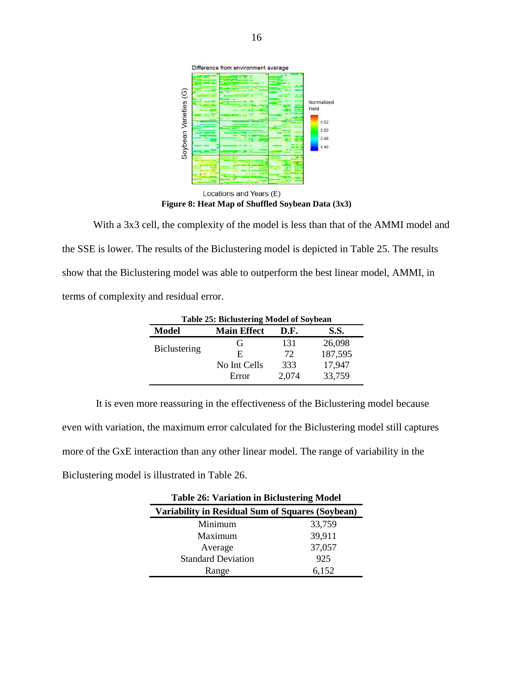

With a 3x3 cell, the complexity of the model is less than that of the AMMI model and the SSE is lower. The results of the Biclustering model is depicted in Table 25. The results show that the Biclustering model was able to outperform the best linear model, AMMI, in terms of complexity and residual error.

| Table 25: Biclustering Model of Soybean |                    |       |         |  |  |  |  |  |  |  |  |  |
|-----------------------------------------|--------------------|-------|---------|--|--|--|--|--|--|--|--|--|
| Model                                   | <b>Main Effect</b> | D.F.  | S.S.    |  |  |  |  |  |  |  |  |  |
|                                         | G,                 | 131   | 26,098  |  |  |  |  |  |  |  |  |  |
| <b>Biclustering</b>                     | F.                 | 72    | 187,595 |  |  |  |  |  |  |  |  |  |
|                                         | No Int Cells       | 333   | 17,947  |  |  |  |  |  |  |  |  |  |
|                                         | Error              | 2,074 | 33,759  |  |  |  |  |  |  |  |  |  |

It is even more reassuring in the effectiveness of the Biclustering model because even with variation, the maximum error calculated for the Biclustering model still captures more of the GxE interaction than any other linear model. The range of variability in the Biclustering model is illustrated in Table 26.

| <b>Table 26: Variation in Biclustering Model</b> |        |  |  |  |  |  |  |  |  |  |  |  |
|--------------------------------------------------|--------|--|--|--|--|--|--|--|--|--|--|--|
| Variability in Residual Sum of Squares (Soybean) |        |  |  |  |  |  |  |  |  |  |  |  |
| Minimum                                          | 33,759 |  |  |  |  |  |  |  |  |  |  |  |
| Maximum                                          | 39,911 |  |  |  |  |  |  |  |  |  |  |  |
| Average                                          | 37,057 |  |  |  |  |  |  |  |  |  |  |  |
| <b>Standard Deviation</b>                        | 925    |  |  |  |  |  |  |  |  |  |  |  |
| Range                                            | 6,152  |  |  |  |  |  |  |  |  |  |  |  |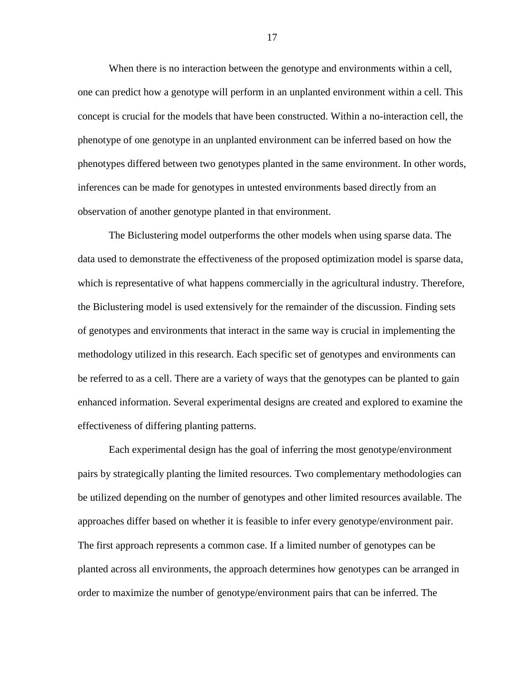When there is no interaction between the genotype and environments within a cell, one can predict how a genotype will perform in an unplanted environment within a cell. This concept is crucial for the models that have been constructed. Within a no-interaction cell, the phenotype of one genotype in an unplanted environment can be inferred based on how the phenotypes differed between two genotypes planted in the same environment. In other words, inferences can be made for genotypes in untested environments based directly from an observation of another genotype planted in that environment.

The Biclustering model outperforms the other models when using sparse data. The data used to demonstrate the effectiveness of the proposed optimization model is sparse data, which is representative of what happens commercially in the agricultural industry. Therefore, the Biclustering model is used extensively for the remainder of the discussion. Finding sets of genotypes and environments that interact in the same way is crucial in implementing the methodology utilized in this research. Each specific set of genotypes and environments can be referred to as a cell. There are a variety of ways that the genotypes can be planted to gain enhanced information. Several experimental designs are created and explored to examine the effectiveness of differing planting patterns.

Each experimental design has the goal of inferring the most genotype/environment pairs by strategically planting the limited resources. Two complementary methodologies can be utilized depending on the number of genotypes and other limited resources available. The approaches differ based on whether it is feasible to infer every genotype/environment pair. The first approach represents a common case. If a limited number of genotypes can be planted across all environments, the approach determines how genotypes can be arranged in order to maximize the number of genotype/environment pairs that can be inferred. The

17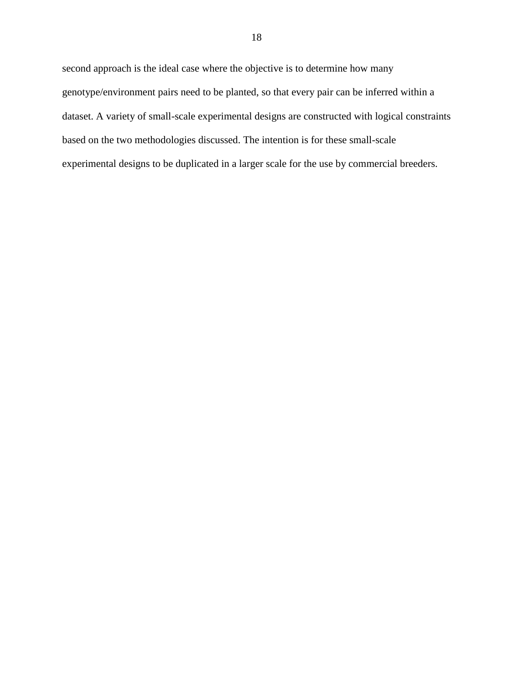second approach is the ideal case where the objective is to determine how many genotype/environment pairs need to be planted, so that every pair can be inferred within a dataset. A variety of small-scale experimental designs are constructed with logical constraints based on the two methodologies discussed. The intention is for these small-scale experimental designs to be duplicated in a larger scale for the use by commercial breeders.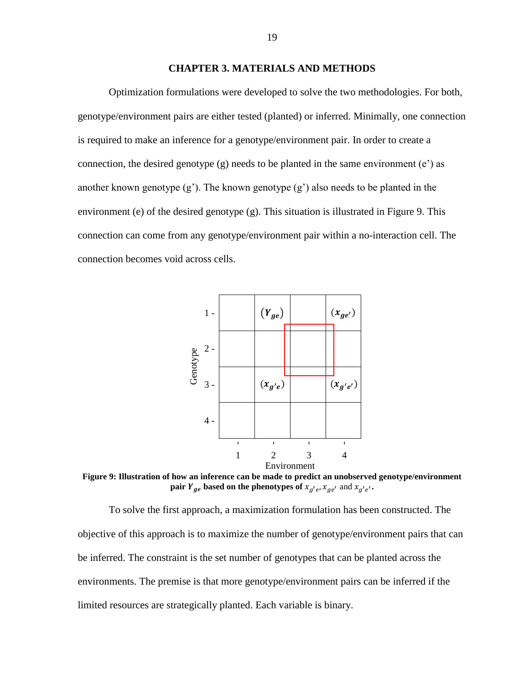# **CHAPTER 3. MATERIALS AND METHODS**

<span id="page-22-0"></span>Optimization formulations were developed to solve the two methodologies. For both, genotype/environment pairs are either tested (planted) or inferred. Minimally, one connection is required to make an inference for a genotype/environment pair. In order to create a connection, the desired genotype  $(g)$  needs to be planted in the same environment  $(e<sup>z</sup>)$  as another known genotype  $(g')$ . The known genotype  $(g')$  also needs to be planted in the environment (e) of the desired genotype (g). This situation is illustrated in Figure 9. This connection can come from any genotype/environment pair within a no-interaction cell. The connection becomes void across cells.



**Figure 9: Illustration of how an inference can be made to predict an unobserved genotype/environment pair**  $Y_{ge}$  based on the phenotypes of  $x_{g'e}, x_{ge'}$  and  $x_{g'e'}.$ 

To solve the first approach, a maximization formulation has been constructed. The objective of this approach is to maximize the number of genotype/environment pairs that can be inferred. The constraint is the set number of genotypes that can be planted across the environments. The premise is that more genotype/environment pairs can be inferred if the limited resources are strategically planted. Each variable is binary.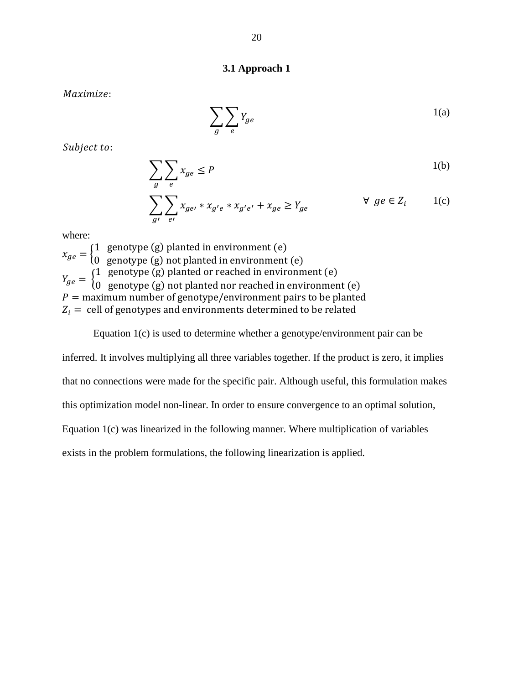# **3.1 Approach 1**

<span id="page-23-0"></span>Maximize:

$$
\sum_{g} \sum_{e} Y_{ge} \tag{1(a)}
$$

Subject to:

$$
\sum_{g} \sum_{e} x_{ge} \le P \tag{1(b)}
$$

$$
\sum_{g'} \sum_{e'} x_{ge'} * x_{g'e} * x_{g'e'} + x_{ge} \ge Y_{ge} \qquad \qquad \forall \ ge \in Z_i \qquad 1(c)
$$

where:

 $x_{ge} = \}$ 1 genotype (g) planted in environment (e) 0 genotype (g) not planted in environment (e)  $Y_{ge} = \{$ 1 genotype (g) planted or reached in environment (e) 0 genotype (g) not planted nor reached in environment (e)  $P =$  maximum number of genotype/environment pairs to be planted  $Z_i$  = cell of genotypes and environments determined to be related

# Equation 1(c) is used to determine whether a genotype/environment pair can be

inferred. It involves multiplying all three variables together. If the product is zero, it implies that no connections were made for the specific pair. Although useful, this formulation makes this optimization model non-linear. In order to ensure convergence to an optimal solution, Equation 1(c) was linearized in the following manner. Where multiplication of variables exists in the problem formulations, the following linearization is applied.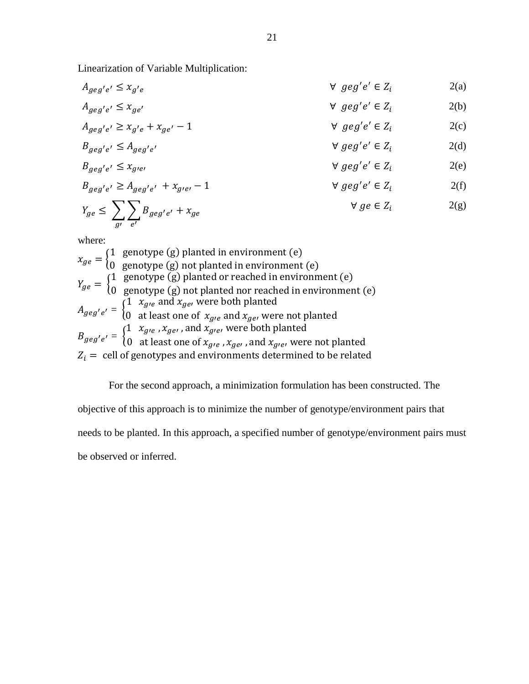Linearization of Variable Multiplication:

 $A_{geg'e'} \leq x_g$  $v_e$   $\forall$   $geg'e' \in Z_i$   $2(a)$ 

$$
A_{geg'e'} \le x_{ge'} \qquad \qquad \forall \ge geg'e' \in Z_i \qquad \qquad 2(b)
$$

$$
A_{geg'e'} \ge x_{g'e} + x_{ge'} - 1
$$
  $\forall$   $geg'e' \in Z_i$   $2(c)$ 

$$
B_{geg'e'} \le A_{geg'e'}
$$
\n
$$
\forall \text{ } geg'e' \in Z_i
$$
\n
$$
B_{geg'e'} \le x_{gie'}
$$
\n
$$
\forall \text{ } geg'e' \in Z_i
$$
\n
$$
\forall \text{ } geg'e' \in Z_i
$$
\n
$$
\exists \text{ } (e)
$$

$$
B_{geg'e'} \ge A_{geg'e'} + x_{g'e'} - 1
$$
 
$$
\forall geg'e' \in Z_i
$$
 (f)

$$
Y_{ge} \le \sum_{g'} \sum_{e'} B_{geg'e'} + x_{ge} \qquad \qquad \forall \, ge \in Z_i \qquad \qquad 2(g)
$$

where:

 $x_{ge} = \}$ 1 genotype (g) planted in environment (e) 0 genotype (g) not planted in environment (e)  $Y_{ge} = \{$ 1 genotype (g) planted or reached in environment (e) 0 genotype (g) not planted nor reached in environment (e)  $A_{geg'e'} = \begin{cases} 1 & x_{g'e} \text{ and } x_{ge'} \text{ were both planted} \\ 0 & \text{at least one of } x \text{ and } x \text{ were} \end{cases}$ 0 at least one of  $x_{gre}$  and  $x_{ge}$ , were not planted  $B_{geg'e'} = \begin{cases} 1 & x_{g'e} \text{, } x_{ge'} \text{, and } x_{g'e'} \text{ were both planted} \\ 0 & \text{at least one of } r \text{ and } x \text{ and } x \text{.} \end{cases}$  $0$  at least one of  $x_{g e}$  ,  $x_{g e}$  , and  $x_{g e e}$  were not planted  $Z_i$  = cell of genotypes and environments determined to be related

For the second approach, a minimization formulation has been constructed. The objective of this approach is to minimize the number of genotype/environment pairs that needs to be planted. In this approach, a specified number of genotype/environment pairs must

be observed or inferred.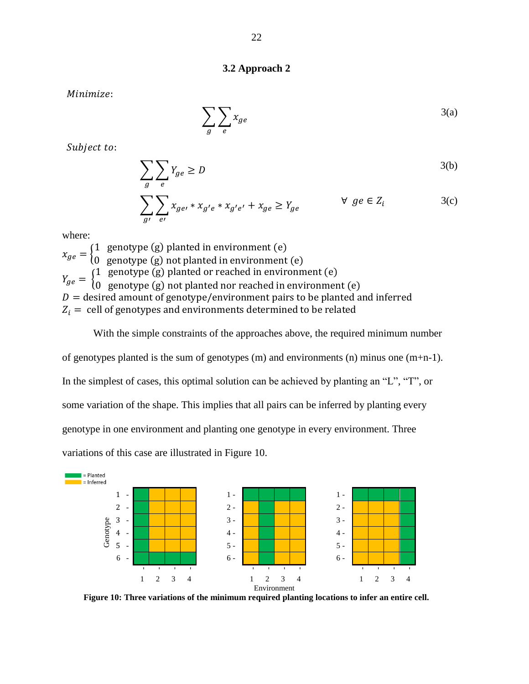# **3.2 Approach 2**

<span id="page-25-0"></span>Minimize:

$$
\sum_{g} \sum_{e} x_{ge} \tag{3(a)}
$$

Subject to:

$$
\sum_{g} \sum_{e} Y_{ge} \ge D \tag{3(b)}
$$

$$
\sum_{g'} \sum_{e'} x_{ge'} * x_{g'e} * x_{g'e'} + x_{ge} \ge Y_{ge} \qquad \qquad \forall \; ge \in Z_i \tag{3(c)}
$$

where:

 $x_{ge} = \}$ 1 genotype (g) planted in environment (e) 0 genotype (g) not planted in environment (e)  $Y_{ge} = \{$ 1 genotype (g) planted or reached in environment (e) 0 genotype (g) not planted nor reached in environment (e)  $D =$  desired amount of genotype/environment pairs to be planted and inferred  $Z_i$  = cell of genotypes and environments determined to be related

With the simple constraints of the approaches above, the required minimum number of genotypes planted is the sum of genotypes (m) and environments (n) minus one (m+n-1). In the simplest of cases, this optimal solution can be achieved by planting an "L", "T", or some variation of the shape. This implies that all pairs can be inferred by planting every genotype in one environment and planting one genotype in every environment. Three variations of this case are illustrated in Figure 10.



**Figure 10: Three variations of the minimum required planting locations to infer an entire cell.**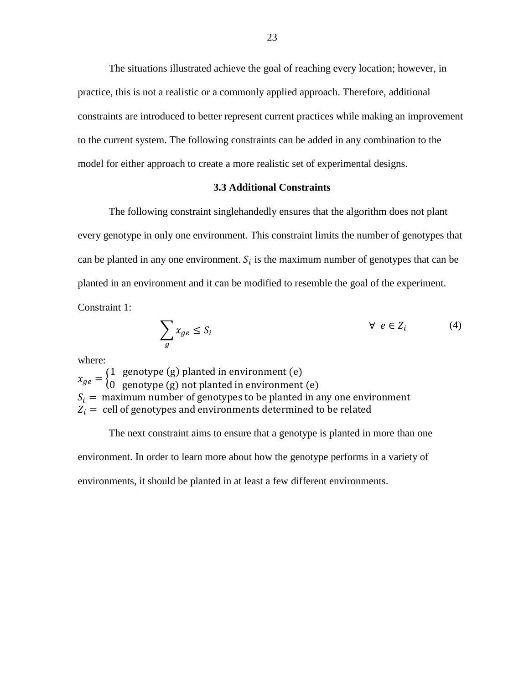The situations illustrated achieve the goal of reaching every location; however, in practice, this is not a realistic or a commonly applied approach. Therefore, additional constraints are introduced to better represent current practices while making an improvement to the current system. The following constraints can be added in any combination to the model for either approach to create a more realistic set of experimental designs.

# **3.3 Additional Constraints**

<span id="page-26-0"></span>The following constraint singlehandedly ensures that the algorithm does not plant every genotype in only one environment. This constraint limits the number of genotypes that can be planted in any one environment.  $S_i$  is the maximum number of genotypes that can be planted in an environment and it can be modified to resemble the goal of the experiment. Constraint 1:

$$
\sum_{g} x_{ge} \le S_i \qquad \qquad \forall \ e \in Z_i \tag{4}
$$

where:

 $x_{ge} = \}$ 1 genotype (g) planted in environment (e) 0 genotype (g) not planted in environment (e)  $S_i=\,$  maximum number of genotypes to be planted in any one environment  $Z_i$  = cell of genotypes and environments determined to be related

The next constraint aims to ensure that a genotype is planted in more than one environment. In order to learn more about how the genotype performs in a variety of environments, it should be planted in at least a few different environments.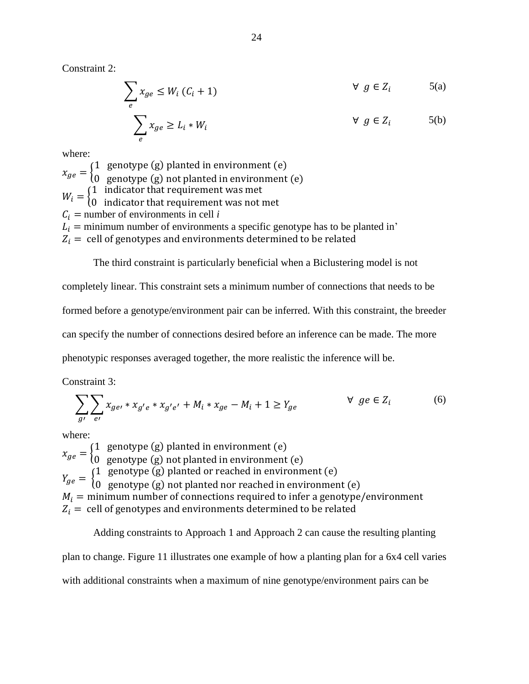Constraint 2:

$$
\sum x_{ge} \le W_i (C_i + 1) \qquad \forall g \in Z_i \qquad \qquad 5(a)
$$

$$
\sum_{e}^{e} x_{ge} \ge L_i * W_i \qquad \forall g \in Z_i \qquad \text{(b)}
$$

where:

 $x_{ge} = \}$ 1 genotype (g) planted in environment (e) 0 genotype (g) not planted in environment (e)  $W_i = \begin{cases} 1 & \text{indicator that requirement was met} \\ 0 & \text{indicator that requirement was not.} \end{cases}$ 0 indicator that requirement was not met  $C_i$  = number of environments in cell *i*  $\overrightarrow{L_i}$  = minimum number of environments a specific genotype has to be planted in'  $Z_i$  = cell of genotypes and environments determined to be related

The third constraint is particularly beneficial when a Biclustering model is not completely linear. This constraint sets a minimum number of connections that needs to be formed before a genotype/environment pair can be inferred. With this constraint, the breeder can specify the number of connections desired before an inference can be made. The more phenotypic responses averaged together, the more realistic the inference will be.

Constraint 3:

$$
\sum_{g'} \sum_{e'} x_{ge'} * x_{g'e} * x_{g'e'} + M_i * x_{ge} - M_i + 1 \ge Y_{ge} \qquad \qquad \forall \ ge \in Z_i
$$
 (6)

where:

 $x_{ge} = \}$ 1 genotype (g) planted in environment (e) 0 genotype (g) not planted in environment (e)  $Y_{ge} = \{$ 1 genotype (g) planted or reached in environment (e) 0 genotype (g) not planted nor reached in environment (e)  $M_i =$  minimum number of connections required to infer a genotype/environment  $Z_i$  = cell of genotypes and environments determined to be related

Adding constraints to Approach 1 and Approach 2 can cause the resulting planting plan to change. Figure 11 illustrates one example of how a planting plan for a 6x4 cell varies with additional constraints when a maximum of nine genotype/environment pairs can be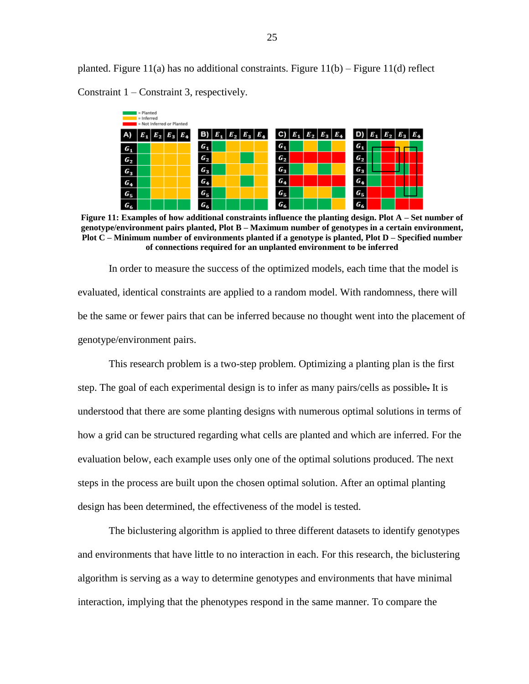planted. Figure 11(a) has no additional constraints. Figure 11(b) – Figure 11(d) reflect Constraint 1 – Constraint 3, respectively.



**Figure 11: Examples of how additional constraints influence the planting design. Plot A – Set number of genotype/environment pairs planted, Plot B – Maximum number of genotypes in a certain environment, Plot C – Minimum number of environments planted if a genotype is planted, Plot D – Specified number of connections required for an unplanted environment to be inferred**

In order to measure the success of the optimized models, each time that the model is evaluated, identical constraints are applied to a random model. With randomness, there will be the same or fewer pairs that can be inferred because no thought went into the placement of genotype/environment pairs.

This research problem is a two-step problem. Optimizing a planting plan is the first step. The goal of each experimental design is to infer as many pairs/cells as possible. It is understood that there are some planting designs with numerous optimal solutions in terms of how a grid can be structured regarding what cells are planted and which are inferred. For the evaluation below, each example uses only one of the optimal solutions produced. The next steps in the process are built upon the chosen optimal solution. After an optimal planting design has been determined, the effectiveness of the model is tested.

The biclustering algorithm is applied to three different datasets to identify genotypes and environments that have little to no interaction in each. For this research, the biclustering algorithm is serving as a way to determine genotypes and environments that have minimal interaction, implying that the phenotypes respond in the same manner. To compare the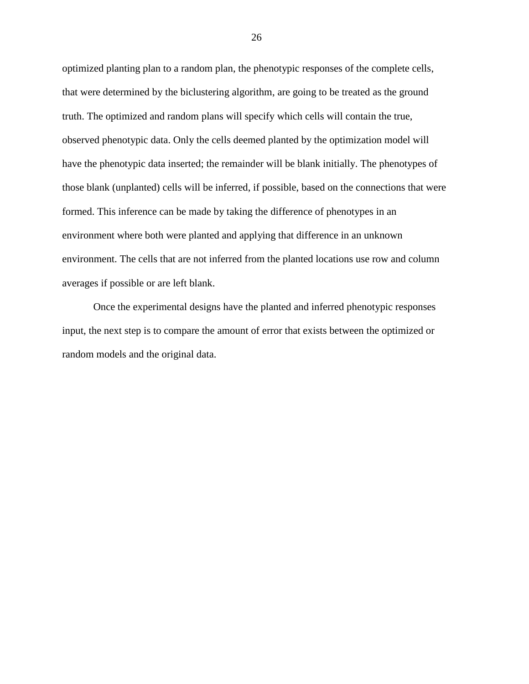optimized planting plan to a random plan, the phenotypic responses of the complete cells, that were determined by the biclustering algorithm, are going to be treated as the ground truth. The optimized and random plans will specify which cells will contain the true, observed phenotypic data. Only the cells deemed planted by the optimization model will have the phenotypic data inserted; the remainder will be blank initially. The phenotypes of those blank (unplanted) cells will be inferred, if possible, based on the connections that were formed. This inference can be made by taking the difference of phenotypes in an environment where both were planted and applying that difference in an unknown environment. The cells that are not inferred from the planted locations use row and column averages if possible or are left blank.

Once the experimental designs have the planted and inferred phenotypic responses input, the next step is to compare the amount of error that exists between the optimized or random models and the original data.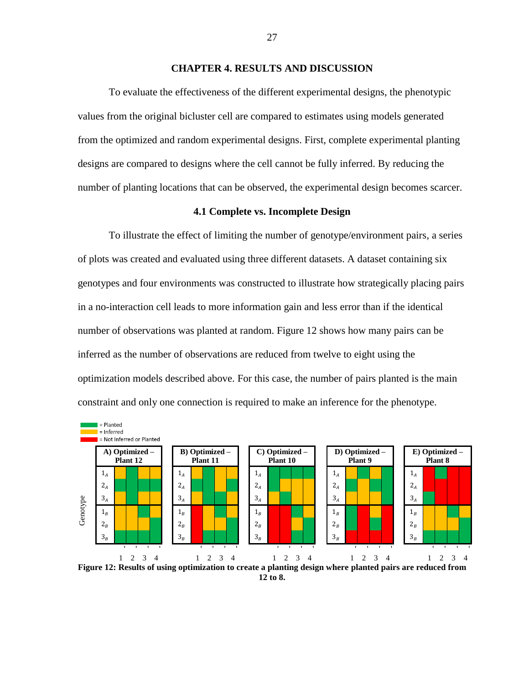# **CHAPTER 4. RESULTS AND DISCUSSION**

<span id="page-30-0"></span>To evaluate the effectiveness of the different experimental designs, the phenotypic values from the original bicluster cell are compared to estimates using models generated from the optimized and random experimental designs. First, complete experimental planting designs are compared to designs where the cell cannot be fully inferred. By reducing the number of planting locations that can be observed, the experimental design becomes scarcer.

# **4.1 Complete vs. Incomplete Design**

<span id="page-30-1"></span>To illustrate the effect of limiting the number of genotype/environment pairs, a series of plots was created and evaluated using three different datasets. A dataset containing six genotypes and four environments was constructed to illustrate how strategically placing pairs in a no-interaction cell leads to more information gain and less error than if the identical number of observations was planted at random. Figure 12 shows how many pairs can be inferred as the number of observations are reduced from twelve to eight using the optimization models described above. For this case, the number of pairs planted is the main constraint and only one connection is required to make an inference for the phenotype.



**12 to 8.**

27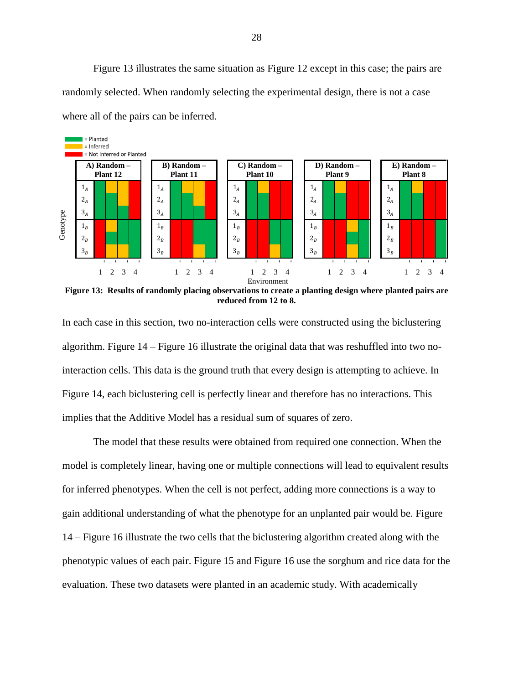Figure 13 illustrates the same situation as Figure 12 except in this case; the pairs are randomly selected. When randomly selecting the experimental design, there is not a case where all of the pairs can be inferred.



**Figure 13: Results of randomly placing observations to create a planting design where planted pairs are reduced from 12 to 8.**

In each case in this section, two no-interaction cells were constructed using the biclustering algorithm. Figure 14 – Figure 16 illustrate the original data that was reshuffled into two nointeraction cells. This data is the ground truth that every design is attempting to achieve. In Figure 14, each biclustering cell is perfectly linear and therefore has no interactions. This implies that the Additive Model has a residual sum of squares of zero.

The model that these results were obtained from required one connection. When the model is completely linear, having one or multiple connections will lead to equivalent results for inferred phenotypes. When the cell is not perfect, adding more connections is a way to gain additional understanding of what the phenotype for an unplanted pair would be. Figure 14 – Figure 16 illustrate the two cells that the biclustering algorithm created along with the phenotypic values of each pair. Figure 15 and Figure 16 use the sorghum and rice data for the evaluation. These two datasets were planted in an academic study. With academically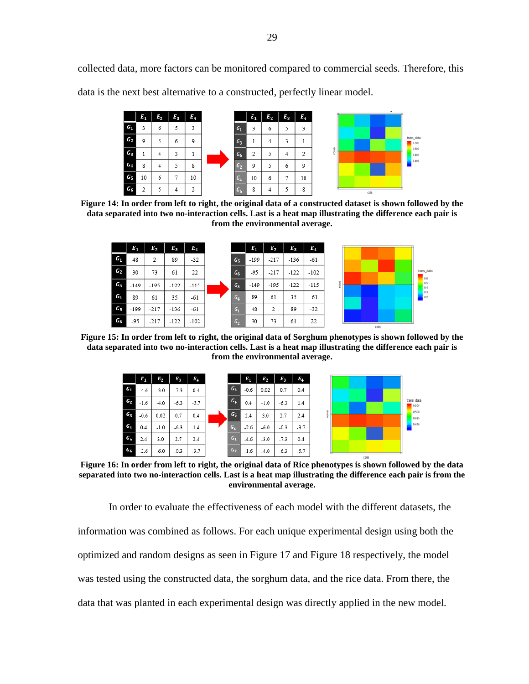collected data, more factors can be monitored compared to commercial seeds. Therefore, this data is the next best alternative to a constructed, perfectly linear model.



**Figure 14: In order from left to right, the original data of a constructed dataset is shown followed by the data separated into two no-interaction cells. Last is a heat map illustrating the difference each pair is from the environmental average.**

|                | $E_1$  | $E_{2}$ | $E_3$  | $E_4$  |                | $E_1$  | $E_2$  | $E_3$  | $E_4$  |                    |
|----------------|--------|---------|--------|--------|----------------|--------|--------|--------|--------|--------------------|
| $G_1$          | 48     | 2       | 89     | $-32$  | $G_5$          | $-199$ | $-217$ | $-136$ | $-61$  |                    |
| G <sub>2</sub> | 30     | 73      | 61     | 22     | G <sub>6</sub> | -95    | $-217$ | $-122$ | $-102$ | trans<br>Ţ.        |
| $G_3$          | $-149$ | $-195$  | $-122$ | $-115$ | $G_3$          | $-149$ | $-195$ | $-122$ | $-115$ | ÷<br>- 9<br>ξ<br>ю |
| $G_4$          | 89     | 61      | 35     | $-61$  | $G_4$          | 89     | 61     | 35     | $-61$  | ŀ٥                 |
| G5             | -199   | $-217$  | $-136$ | -61    | $G_1$          | 48     | 2      | 89     | $-32$  |                    |
| $G_6$          | -95    | $-217$  | $-122$ | -102   | $G_2$          | 30     | 73     | 61     | 22     | cols               |

**Figure 15: In order from left to right, the original data of Sorghum phenotypes is shown followed by the data separated into two no-interaction cells. Last is a heat map illustrating the difference each pair is from the environmental average.**



**Figure 16: In order from left to right, the original data of Rice phenotypes is shown followed by the data separated into two no-interaction cells. Last is a heat map illustrating the difference each pair is from the environmental average.**

In order to evaluate the effectiveness of each model with the different datasets, the information was combined as follows. For each unique experimental design using both the optimized and random designs as seen in Figure 17 and Figure 18 respectively, the model was tested using the constructed data, the sorghum data, and the rice data. From there, the data that was planted in each experimental design was directly applied in the new model.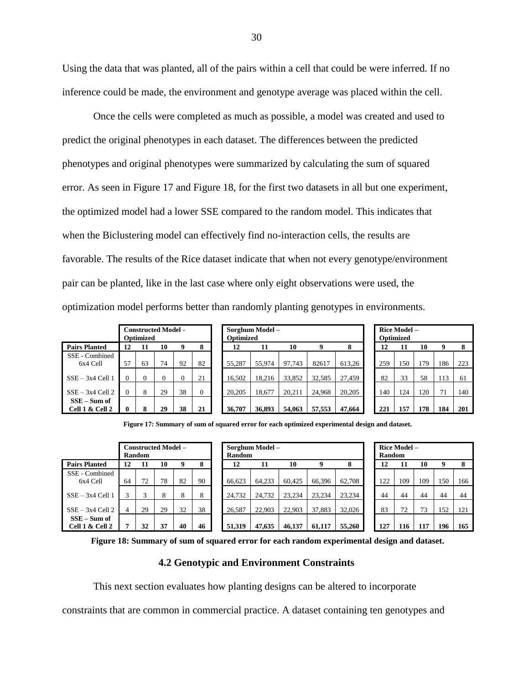Using the data that was planted, all of the pairs within a cell that could be were inferred. If no inference could be made, the environment and genotype average was placed within the cell.

Once the cells were completed as much as possible, a model was created and used to predict the original phenotypes in each dataset. The differences between the predicted phenotypes and original phenotypes were summarized by calculating the sum of squared error. As seen in Figure 17 and Figure 18, for the first two datasets in all but one experiment, the optimized model had a lower SSE compared to the random model. This indicates that when the Biclustering model can effectively find no-interaction cells, the results are favorable. The results of the Rice dataset indicate that when not every genotype/environment pair can be planted, like in the last case where only eight observations were used, the optimization model performs better than randomly planting genotypes in environments.

|                                   |    | <b>Optimized</b> | <b>Constructed Model -</b> |          |          | Sorghum Model-<br>Optimized |        |        |        |        |  | Rice Model -<br>Optimized |     |     |     |     |  |  |
|-----------------------------------|----|------------------|----------------------------|----------|----------|-----------------------------|--------|--------|--------|--------|--|---------------------------|-----|-----|-----|-----|--|--|
| <b>Pairs Planted</b>              | 12 | 11               | 10                         | 9        | 8        | 12                          | 11     | 10     | q      | 8      |  | 12                        |     | 10  | 9   | -8  |  |  |
| SSE - Combined<br>$6x4$ Cell      | 57 | 63               | 74                         | 92       | 82       | 55.287                      | 55,974 | 97.743 | 82617  | 613,26 |  | 259                       | 150 | 179 | 186 | 223 |  |  |
| $SSE - 3x4$ Cell 1                |    | $\Omega$         | $\Omega$                   | $\Omega$ | 21       | 16.502                      | 18.216 | 33,852 | 32.585 | 27.459 |  | 82                        | 33  | 58  | 113 | 61  |  |  |
| $SSE - 3x4$ Cell 2                |    | 8                | 29                         | 38       | $\Omega$ | 20.205                      | 18.677 | 20.211 | 24.968 | 20,205 |  | 140                       | 124 | 120 | 71  | 140 |  |  |
| $SSE - Sum$ of<br>Cell 1 & Cell 2 | 0  | $\bullet$        | 29                         | 38       | 21       | 36,707                      | 36.893 | 54,063 | 57,553 | 47,664 |  | 221                       | 157 | 178 | 184 | 201 |  |  |

|                                       |          | <b>Constructed Model -</b><br><b>Optimized</b> |    |    |          | Sorghum Model -<br><b>Optimized</b> | Rice Model -<br>Optimized |        |        |        |     |     |     |     |     |
|---------------------------------------|----------|------------------------------------------------|----|----|----------|-------------------------------------|---------------------------|--------|--------|--------|-----|-----|-----|-----|-----|
| s Planted                             | 12       | 11                                             | 10 | 9  | 8        | 12                                  | 11                        | 10     |        | 8      | 12  | 11  | 10  | 9   | -8  |
| - Combined<br>6x4 Cell                | 57       | 63                                             | 74 | 92 | 82       | 55.287                              | 55,974                    | 97.743 | 82617  | 613.26 | 259 | 150 | 179 | 186 | 223 |
| $-3x4$ Cell 1                         | $\Omega$ | $\theta$                                       | 0  |    | 21       | 16.502                              | 18.216                    | 33.852 | 32.585 | 27.459 | 82  | 33  | 58  | 113 | 61  |
| $-3x4$ Cell 2                         | 0        | 8                                              | 29 | 38 | $\theta$ | 20,205                              | 18.677                    | 20.211 | 24,968 | 20.205 | 140 | 124 | 120 | 71  | 140 |
| E – Sum of<br>1 1 <i>&amp;</i> Cell 2 |          | 8                                              | 29 | 38 | 21       | 36.707                              | 36.893                    | 54.063 | 57.553 | 47.664 | 221 | 157 | 178 | 184 | 201 |

|                          | Rice Model –<br>Optimized |     |     |     |  |  |  |  |  |  |  |  |  |
|--------------------------|---------------------------|-----|-----|-----|--|--|--|--|--|--|--|--|--|
| 8<br>10<br>9<br>12<br>11 |                           |     |     |     |  |  |  |  |  |  |  |  |  |
| 259                      | 150                       | 179 | 186 | 223 |  |  |  |  |  |  |  |  |  |
| 82                       | 33                        | 58  | 113 | 61  |  |  |  |  |  |  |  |  |  |
| 140                      | 124                       | 120 | 71  | 140 |  |  |  |  |  |  |  |  |  |
| 221                      | 157                       | 178 | 184 | 201 |  |  |  |  |  |  |  |  |  |

**Figure 17: Summary of sum of squared error for each optimized experimental design and dataset.**

|                                   |    | <b>Random</b> | <b>Constructed Model –</b> |    |    | Sorghum Model-<br><b>Random</b> |        |        |        |        |  | Rice Model -<br><b>Random</b> |     |     |     |     |  |  |
|-----------------------------------|----|---------------|----------------------------|----|----|---------------------------------|--------|--------|--------|--------|--|-------------------------------|-----|-----|-----|-----|--|--|
| <b>Pairs Planted</b>              | 12 | 11            | 10                         | 9  | 8  | 12                              | 11     | 10     |        | 8      |  | 12                            |     | 10  | 9   | -8  |  |  |
| SSE - Combined<br>6x4 Cell        | 64 | 72            | 78                         | 82 | 90 | 66.623                          | 64,233 | 60.425 | 66,396 | 62.708 |  | 122                           | 109 | 109 | 150 | 166 |  |  |
| $SSE - 3x4$ Cell 1                | 3  |               | 8                          | 8  | 8  | 24.732                          | 24,732 | 23.234 | 23.234 | 23.234 |  | 44                            | 44  | 44  | 44  | 44  |  |  |
| $SSE - 3x4$ Cell 2                | 4  | 29            | 29                         | 32 | 38 | 26.587                          | 22,903 | 22,903 | 37.883 | 32,026 |  | 83                            | 72  | 73  | 152 | 121 |  |  |
| $SSE - Sum$ of<br>Cell 1 & Cell 2 | -  | 32            | 37                         | 40 | 46 | 51.319                          | 47,635 | 46,137 | 61.117 | 55,260 |  | 127                           | 116 | 117 | 196 | 165 |  |  |

|                                   | <b>Constructed Model -</b><br>Random |    |    |    |    | Sorghum Model -<br><b>Random</b> |        |        |        |        |  | Rice Model -<br><b>Random</b> |     |     |     |     |
|-----------------------------------|--------------------------------------|----|----|----|----|----------------------------------|--------|--------|--------|--------|--|-------------------------------|-----|-----|-----|-----|
| airs Planted                      | 12                                   | 11 | 10 |    | 8  | 12                               | 11     | 10     |        | 8      |  | 12                            | 11  | 10  | 9   | -8  |
| SSE - Combined<br>6x4 Cell        | 64                                   | 72 | 78 | 82 | 90 | 66.623                           | 64.233 | 60.425 | 66.396 | 62.708 |  | 122                           | 109 | 109 | 150 | 166 |
| $SSE - 3x4$ Cell 1                | 3                                    | 2  |    | 8  | 8  | 24.732                           | 24.732 | 23.234 | 23.234 | 23.234 |  | 44                            | 44  | 44  | 44  | 44  |
| $SSE - 3x4$ Cell 2                | 4                                    | 29 | 29 | 32 | 38 | 26.587                           | 22.903 | 22.903 | 37.883 | 32,026 |  | 83                            | 72  | 73  | 152 | 121 |
| $SSE - Sum$ of<br>Cell 1 & Cell 2 | 7                                    | 32 | 37 | 40 | 46 | 51.319                           | 47,635 | 46.137 | 61.117 | 55,260 |  | 127                           | 116 | 117 | 196 | 165 |

| Rice Model -<br>Random |                    |     |     |     |  |  |  |  |  |  |  |
|------------------------|--------------------|-----|-----|-----|--|--|--|--|--|--|--|
| 12                     | 9<br>10<br>8<br>11 |     |     |     |  |  |  |  |  |  |  |
| 122                    | 109                | 109 | 150 | 166 |  |  |  |  |  |  |  |
| 44                     | 44                 | 44  | 44  | 44  |  |  |  |  |  |  |  |
| 83                     | 72                 | 73  | 152 | 121 |  |  |  |  |  |  |  |
| 127                    | 116                | 117 | 196 | 165 |  |  |  |  |  |  |  |

<span id="page-33-0"></span>**Figure 18: Summary of sum of squared error for each random experimental design and dataset.**

# **4.2 Genotypic and Environment Constraints**

This next section evaluates how planting designs can be altered to incorporate

constraints that are common in commercial practice. A dataset containing ten genotypes and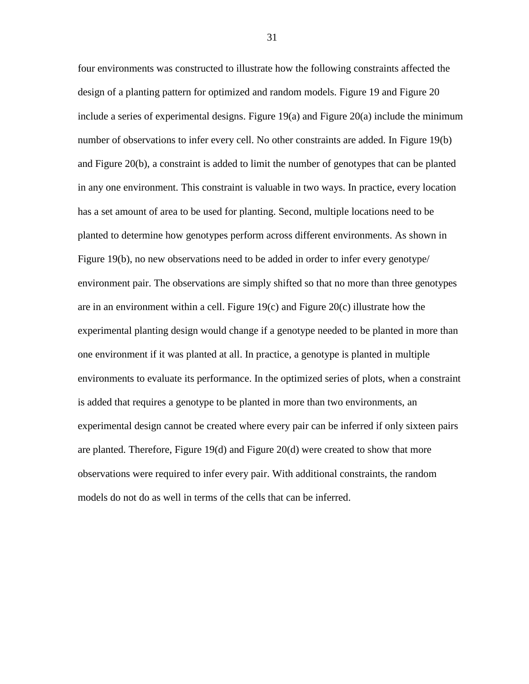four environments was constructed to illustrate how the following constraints affected the design of a planting pattern for optimized and random models. Figure 19 and Figure 20 include a series of experimental designs. Figure 19(a) and Figure 20(a) include the minimum number of observations to infer every cell. No other constraints are added. In Figure 19(b) and Figure 20(b), a constraint is added to limit the number of genotypes that can be planted in any one environment. This constraint is valuable in two ways. In practice, every location has a set amount of area to be used for planting. Second, multiple locations need to be planted to determine how genotypes perform across different environments. As shown in Figure 19(b), no new observations need to be added in order to infer every genotype/ environment pair. The observations are simply shifted so that no more than three genotypes are in an environment within a cell. Figure 19(c) and Figure 20(c) illustrate how the experimental planting design would change if a genotype needed to be planted in more than one environment if it was planted at all. In practice, a genotype is planted in multiple environments to evaluate its performance. In the optimized series of plots, when a constraint is added that requires a genotype to be planted in more than two environments, an experimental design cannot be created where every pair can be inferred if only sixteen pairs are planted. Therefore, Figure 19(d) and Figure 20(d) were created to show that more observations were required to infer every pair. With additional constraints, the random models do not do as well in terms of the cells that can be inferred.

31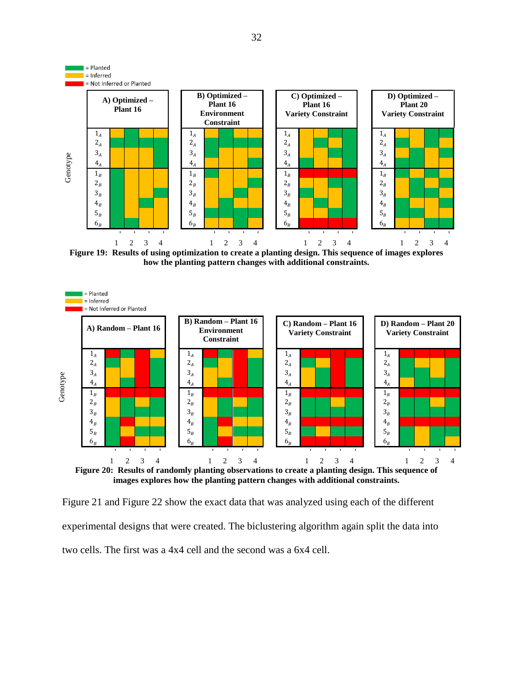

**Figure 19: Results of using optimization to create a planting design. This sequence of images explores how the planting pattern changes with additional constraints.**



Figure 21 and Figure 22 show the exact data that was analyzed using each of the different experimental designs that were created. The biclustering algorithm again split the data into two cells. The first was a 4x4 cell and the second was a 6x4 cell.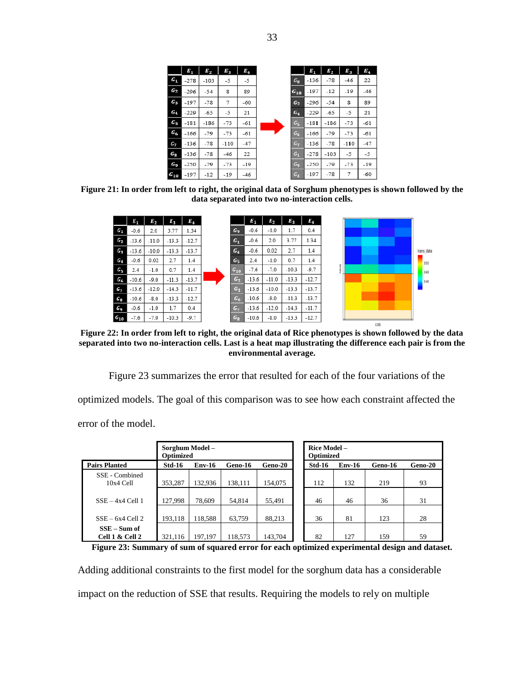|                | $E_{1}$ | $\bm{E}_2$ | $E_3$ | $E_4$ |                | $E_1$  | $E_{2}$ | $E_{\rm R}$ | E.    |
|----------------|---------|------------|-------|-------|----------------|--------|---------|-------------|-------|
| $G_1$          | $-278$  | $-103$     | -5    | -5    | $G_{\bf R}$    | $-136$ | $-78$   | $-46$       | 22    |
| $G_2$          | $-296$  | $-54$      | 8     | 89    | $G_{10}$       | $-197$ | -12     | $-19$       | -46   |
| $\bm{G_3}$     | $-197$  | $-78$      | 7     | $-60$ | $G_2$          | $-296$ | $-54$   | 8           | 89    |
| $G_4$          | $-229$  | $-65$      | $-5$  | 21    | $G_4$          | $-229$ | -65     | -5          | 21    |
| G5             | $-181$  | $-186$     | $-73$ | $-61$ | $G_{5}$        | $-181$ | -186    | $-73$       | -61   |
| $G_6$          | $-166$  | -79        | $-73$ | $-61$ | $G_6$          | $-166$ | $-79$   | $-73$       | -61   |
| G7             | $-136$  | $-78$      | -110  | $-47$ | G <sub>7</sub> | $-136$ | $-78$   | $-110$      | $-47$ |
| $G_{\rm g}$    | $-136$  | $-78$      | $-46$ | 22    | $G_1$          | $-278$ | -103    | -5          | -5    |
| G <sub>9</sub> | $-250$  | $-79$      | $-73$ | $-19$ | G <sub>9</sub> | $-250$ | -79     | $-73$       | $-19$ |
| $G_{10}$       | $-197$  | $-12$      | $-19$ | $-46$ | $G_3$          | $-197$ | $-78$   | 7           | -60   |

**Figure 21: In order from left to right, the original data of Sorghum phenotypes is shown followed by the data separated into two no-interaction cells.**



**Figure 22: In order from left to right, the original data of Rice phenotypes is shown followed by the data separated into two no-interaction cells. Last is a heat map illustrating the difference each pair is from the environmental average.**

Figure 23 summarizes the error that resulted for each of the four variations of the

optimized models. The goal of this comparison was to see how each constraint affected the error of the model.

|                                   | Sorghum Model -<br><b>Optimized</b> |               |         |                | Rice Model -<br>Optimized |               |         |         |  |  |
|-----------------------------------|-------------------------------------|---------------|---------|----------------|---------------------------|---------------|---------|---------|--|--|
| <b>Pairs Planted</b>              | <b>Std-16</b>                       | <b>Env-16</b> | Geno-16 | <b>Geno-20</b> | <b>Std-16</b>             | <b>Env-16</b> | Geno-16 | Geno-20 |  |  |
| SSE - Combined<br>$10x4$ Cell     | 353,287                             | 132,936       | 138,111 | 154,075        | 112                       | 132           | 219     | 93      |  |  |
| $SSE - 4x4$ Cell 1                | 127,998                             | 78,609        | 54,814  | 55,491         | 46                        | 46            | 36      | 31      |  |  |
| $SSE - 6x4$ Cell 2                | 193,118                             | 118,588       | 63.759  | 88,213         | 36                        | 81            | 123     | 28      |  |  |
| $SSE - Sum$ of<br>Cell 1 & Cell 2 | 321,116                             | 197,197       | 118.573 | 143.704        | 82                        | 127           | 159     | 59      |  |  |

**Figure 23: Summary of sum of squared error for each optimized experimental design and dataset.**

Adding additional constraints to the first model for the sorghum data has a considerable impact on the reduction of SSE that results. Requiring the models to rely on multiple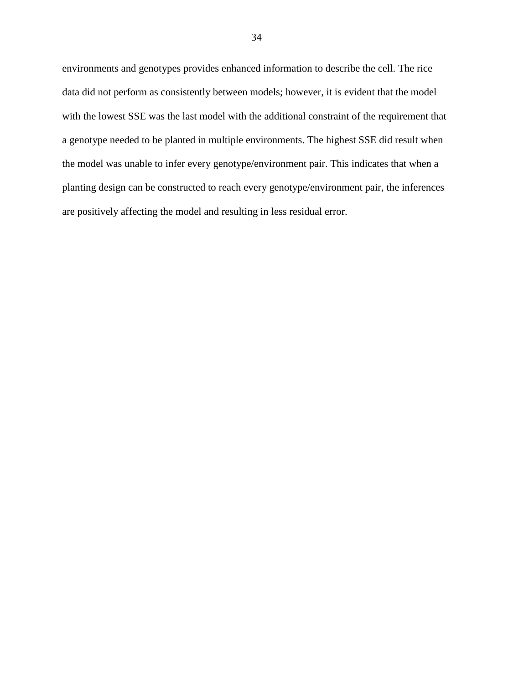environments and genotypes provides enhanced information to describe the cell. The rice data did not perform as consistently between models; however, it is evident that the model with the lowest SSE was the last model with the additional constraint of the requirement that a genotype needed to be planted in multiple environments. The highest SSE did result when the model was unable to infer every genotype/environment pair. This indicates that when a planting design can be constructed to reach every genotype/environment pair, the inferences are positively affecting the model and resulting in less residual error.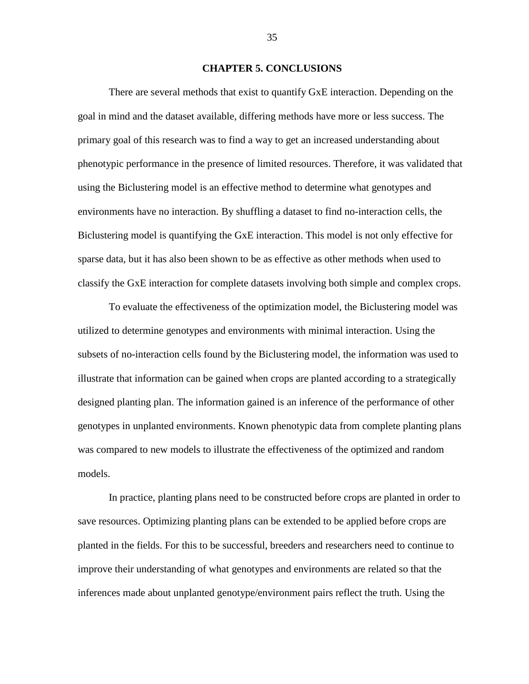# **CHAPTER 5. CONCLUSIONS**

<span id="page-38-0"></span>There are several methods that exist to quantify GxE interaction. Depending on the goal in mind and the dataset available, differing methods have more or less success. The primary goal of this research was to find a way to get an increased understanding about phenotypic performance in the presence of limited resources. Therefore, it was validated that using the Biclustering model is an effective method to determine what genotypes and environments have no interaction. By shuffling a dataset to find no-interaction cells, the Biclustering model is quantifying the GxE interaction. This model is not only effective for sparse data, but it has also been shown to be as effective as other methods when used to classify the GxE interaction for complete datasets involving both simple and complex crops.

To evaluate the effectiveness of the optimization model, the Biclustering model was utilized to determine genotypes and environments with minimal interaction. Using the subsets of no-interaction cells found by the Biclustering model, the information was used to illustrate that information can be gained when crops are planted according to a strategically designed planting plan. The information gained is an inference of the performance of other genotypes in unplanted environments. Known phenotypic data from complete planting plans was compared to new models to illustrate the effectiveness of the optimized and random models.

In practice, planting plans need to be constructed before crops are planted in order to save resources. Optimizing planting plans can be extended to be applied before crops are planted in the fields. For this to be successful, breeders and researchers need to continue to improve their understanding of what genotypes and environments are related so that the inferences made about unplanted genotype/environment pairs reflect the truth. Using the

35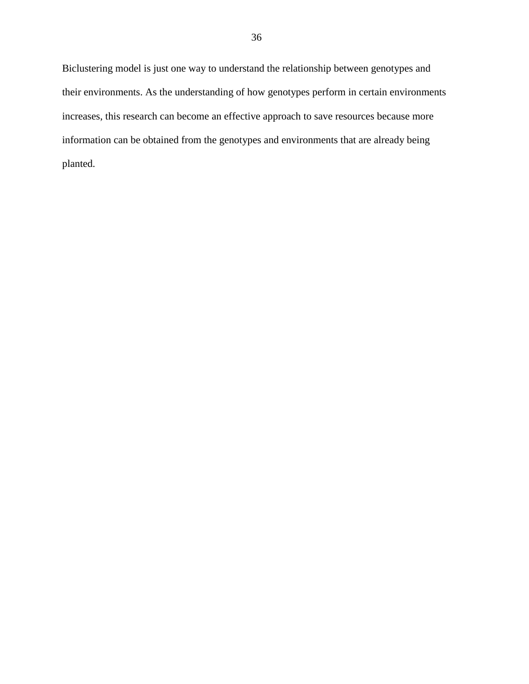Biclustering model is just one way to understand the relationship between genotypes and their environments. As the understanding of how genotypes perform in certain environments increases, this research can become an effective approach to save resources because more information can be obtained from the genotypes and environments that are already being planted.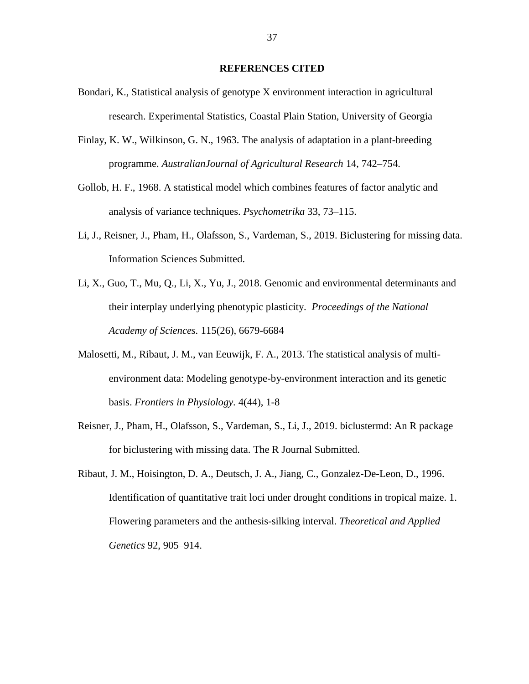### **REFERENCES CITED**

- <span id="page-40-0"></span>Bondari, K., Statistical analysis of genotype X environment interaction in agricultural research. Experimental Statistics, Coastal Plain Station, University of Georgia
- Finlay, K. W., Wilkinson, G. N., 1963. The analysis of adaptation in a plant-breeding programme. *AustralianJournal of Agricultural Research* 14, 742–754.
- Gollob, H. F., 1968. A statistical model which combines features of factor analytic and analysis of variance techniques. *Psychometrika* 33, 73–115.
- Li, J., Reisner, J., Pham, H., Olafsson, S., Vardeman, S., 2019. Biclustering for missing data. Information Sciences Submitted.
- Li, X., Guo, T., Mu, Q., Li, X., Yu, J., 2018. Genomic and environmental determinants and their interplay underlying phenotypic plasticity. *Proceedings of the National Academy of Sciences.* 115(26), 6679-6684
- Malosetti, M., Ribaut, J. M., van Eeuwijk, F. A., 2013. The statistical analysis of multienvironment data: Modeling genotype-by-environment interaction and its genetic basis. *Frontiers in Physiology.* 4(44), 1-8
- Reisner, J., Pham, H., Olafsson, S., Vardeman, S., Li, J., 2019. biclustermd: An R package for biclustering with missing data. The R Journal Submitted.
- Ribaut, J. M., Hoisington, D. A., Deutsch, J. A., Jiang, C., Gonzalez-De-Leon, D., 1996. Identification of quantitative trait loci under drought conditions in tropical maize. 1. Flowering parameters and the anthesis-silking interval. *Theoretical and Applied Genetics* 92, 905–914.